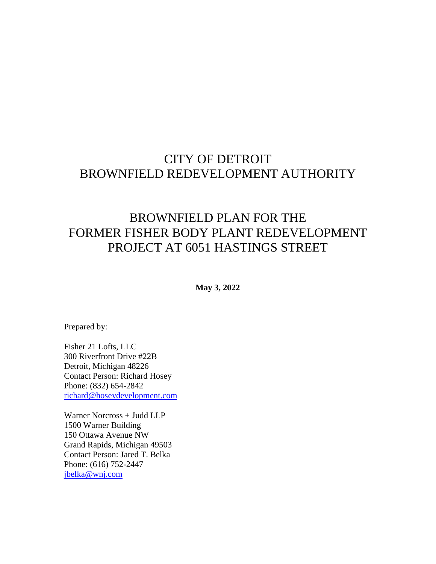# CITY OF DETROIT BROWNFIELD REDEVELOPMENT AUTHORITY

# BROWNFIELD PLAN FOR THE FORMER FISHER BODY PLANT REDEVELOPMENT PROJECT AT 6051 HASTINGS STREET

**May 3, 2022** 

Prepared by:

Fisher 21 Lofts, LLC 300 Riverfront Drive #22B Detroit, Michigan 48226 Contact Person: Richard Hosey Phone: (832) 654-2842 [richard@hoseydevelopment.com](mailto:richard@hoseydevelopment.com)

Warner Norcross + Judd LLP 1500 Warner Building 150 Ottawa Avenue NW Grand Rapids, Michigan 49503 Contact Person: Jared T. Belka Phone: (616) 752-2447 [jbelka@wnj.com](mailto:jbelka@wnj.com)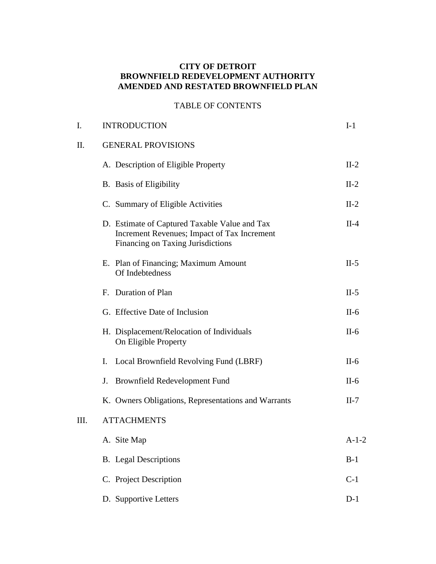#### **CITY OF DETROIT BROWNFIELD REDEVELOPMENT AUTHORITY AMENDED AND RESTATED BROWNFIELD PLAN**

## TABLE OF CONTENTS

| I.   | <b>INTRODUCTION</b>                                                                                                               | $I-1$   |
|------|-----------------------------------------------------------------------------------------------------------------------------------|---------|
| II.  | <b>GENERAL PROVISIONS</b>                                                                                                         |         |
|      | A. Description of Eligible Property                                                                                               | $II-2$  |
|      | <b>B.</b> Basis of Eligibility                                                                                                    | $II-2$  |
|      | C. Summary of Eligible Activities                                                                                                 | $II-2$  |
|      | D. Estimate of Captured Taxable Value and Tax<br>Increment Revenues; Impact of Tax Increment<br>Financing on Taxing Jurisdictions | $II-4$  |
|      | E. Plan of Financing; Maximum Amount<br>Of Indebtedness                                                                           | $II-5$  |
|      | F. Duration of Plan                                                                                                               | $II-5$  |
|      | G. Effective Date of Inclusion                                                                                                    | $II-6$  |
|      | H. Displacement/Relocation of Individuals<br>On Eligible Property                                                                 | $II-6$  |
|      | Local Brownfield Revolving Fund (LBRF)<br>Ι.                                                                                      | $II-6$  |
|      | <b>Brownfield Redevelopment Fund</b><br>J.                                                                                        | $II-6$  |
|      | K. Owners Obligations, Representations and Warrants                                                                               | $II-7$  |
| III. | <b>ATTACHMENTS</b>                                                                                                                |         |
|      | A. Site Map                                                                                                                       | $A-1-2$ |
|      | <b>B.</b> Legal Descriptions                                                                                                      | $B-1$   |
|      | C. Project Description                                                                                                            | $C-1$   |
|      | D. Supportive Letters                                                                                                             | $D-1$   |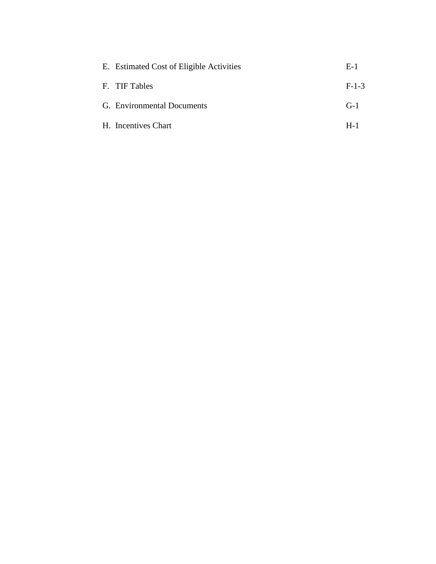| E. Estimated Cost of Eligible Activities | $E-1$   |
|------------------------------------------|---------|
| F. TIF Tables                            | $F-1-3$ |
| G. Environmental Documents               | $G-1$   |
| H. Incentives Chart                      | $H-1$   |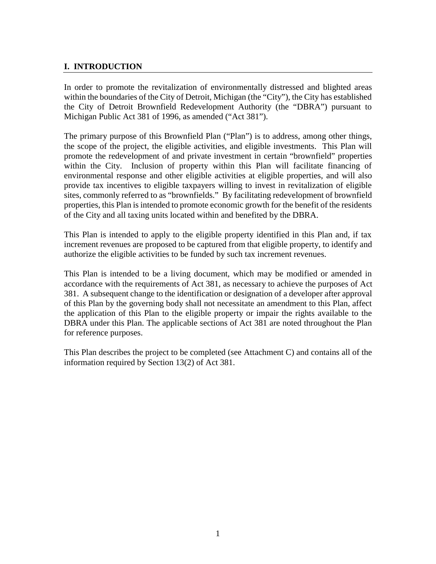## **I. INTRODUCTION**

In order to promote the revitalization of environmentally distressed and blighted areas within the boundaries of the City of Detroit, Michigan (the "City"), the City has established the City of Detroit Brownfield Redevelopment Authority (the "DBRA") pursuant to Michigan Public Act 381 of 1996, as amended ("Act 381").

The primary purpose of this Brownfield Plan ("Plan") is to address, among other things, the scope of the project, the eligible activities, and eligible investments. This Plan will promote the redevelopment of and private investment in certain "brownfield" properties within the City. Inclusion of property within this Plan will facilitate financing of environmental response and other eligible activities at eligible properties, and will also provide tax incentives to eligible taxpayers willing to invest in revitalization of eligible sites, commonly referred to as "brownfields." By facilitating redevelopment of brownfield properties, this Plan is intended to promote economic growth for the benefit of the residents of the City and all taxing units located within and benefited by the DBRA.

This Plan is intended to apply to the eligible property identified in this Plan and, if tax increment revenues are proposed to be captured from that eligible property, to identify and authorize the eligible activities to be funded by such tax increment revenues.

This Plan is intended to be a living document, which may be modified or amended in accordance with the requirements of Act 381, as necessary to achieve the purposes of Act 381. A subsequent change to the identification or designation of a developer after approval of this Plan by the governing body shall not necessitate an amendment to this Plan, affect the application of this Plan to the eligible property or impair the rights available to the DBRA under this Plan. The applicable sections of Act 381 are noted throughout the Plan for reference purposes.

This Plan describes the project to be completed (see Attachment C) and contains all of the information required by Section 13(2) of Act 381.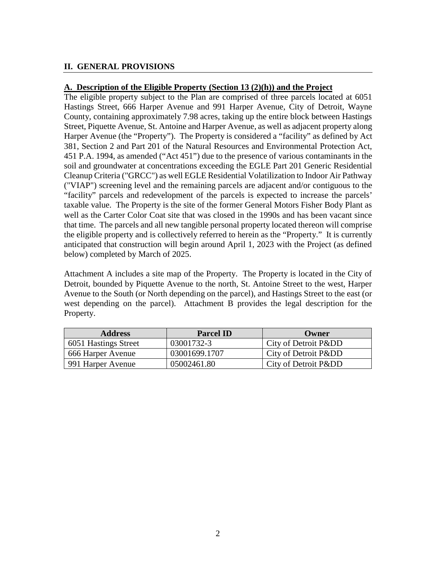## **II. GENERAL PROVISIONS**

#### **A. Description of the Eligible Property (Section 13 (2)(h)) and the Project**

The eligible property subject to the Plan are comprised of three parcels located at 6051 Hastings Street, 666 Harper Avenue and 991 Harper Avenue, City of Detroit, Wayne County, containing approximately 7.98 acres, taking up the entire block between Hastings Street, Piquette Avenue, St. Antoine and Harper Avenue, as well as adjacent property along Harper Avenue (the "Property"). The Property is considered a "facility" as defined by Act 381, Section 2 and Part 201 of the Natural Resources and Environmental Protection Act, 451 P.A. 1994, as amended ("Act 451") due to the presence of various contaminants in the soil and groundwater at concentrations exceeding the EGLE Part 201 Generic Residential Cleanup Criteria ("GRCC") as well EGLE Residential Volatilization to Indoor Air Pathway ("VIAP") screening level and the remaining parcels are adjacent and/or contiguous to the "facility" parcels and redevelopment of the parcels is expected to increase the parcels' taxable value. The Property is the site of the former General Motors Fisher Body Plant as well as the Carter Color Coat site that was closed in the 1990s and has been vacant since that time. The parcels and all new tangible personal property located thereon will comprise the eligible property and is collectively referred to herein as the "Property." It is currently anticipated that construction will begin around April 1, 2023 with the Project (as defined below) completed by March of 2025.

Attachment A includes a site map of the Property. The Property is located in the City of Detroit, bounded by Piquette Avenue to the north, St. Antoine Street to the west, Harper Avenue to the South (or North depending on the parcel), and Hastings Street to the east (or west depending on the parcel). Attachment B provides the legal description for the Property.

| <b>Address</b>       | <b>Parcel ID</b> | <b>Owner</b>       |
|----------------------|------------------|--------------------|
| 6051 Hastings Street | 03001732-3       | City of Detroit Pⅅ |
| 666 Harper Avenue    | 03001699.1707    | City of Detroit Pⅅ |
| 991 Harper Avenue    | 05002461.80      | City of Detroit Pⅅ |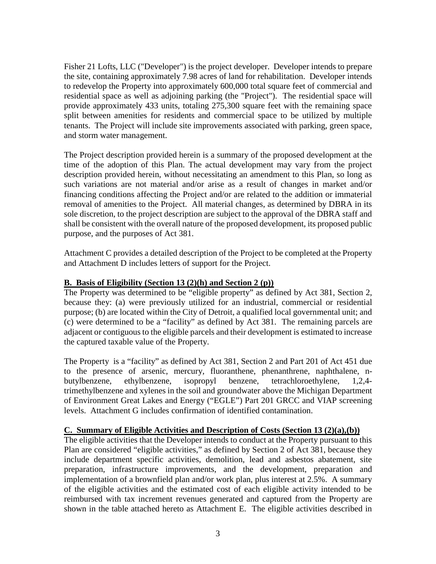Fisher 21 Lofts, LLC ("Developer") is the project developer. Developer intends to prepare the site, containing approximately 7.98 acres of land for rehabilitation. Developer intends to redevelop the Property into approximately 600,000 total square feet of commercial and residential space as well as adjoining parking (the "Project"). The residential space will provide approximately 433 units, totaling 275,300 square feet with the remaining space split between amenities for residents and commercial space to be utilized by multiple tenants. The Project will include site improvements associated with parking, green space, and storm water management.

The Project description provided herein is a summary of the proposed development at the time of the adoption of this Plan. The actual development may vary from the project description provided herein, without necessitating an amendment to this Plan, so long as such variations are not material and/or arise as a result of changes in market and/or financing conditions affecting the Project and/or are related to the addition or immaterial removal of amenities to the Project. All material changes, as determined by DBRA in its sole discretion, to the project description are subject to the approval of the DBRA staff and shall be consistent with the overall nature of the proposed development, its proposed public purpose, and the purposes of Act 381.

Attachment C provides a detailed description of the Project to be completed at the Property and Attachment D includes letters of support for the Project.

#### **B. Basis of Eligibility (Section 13 (2)(h) and Section 2 (p))**

The Property was determined to be "eligible property" as defined by Act 381, Section 2, because they: (a) were previously utilized for an industrial, commercial or residential purpose; (b) are located within the City of Detroit, a qualified local governmental unit; and (c) were determined to be a "facility" as defined by Act 381. The remaining parcels are adjacent or contiguous to the eligible parcels and their development is estimated to increase the captured taxable value of the Property.

The Property is a "facility" as defined by Act 381, Section 2 and Part 201 of Act 451 due to the presence of arsenic, mercury, fluoranthene, phenanthrene, naphthalene, nbutylbenzene, ethylbenzene, isopropyl benzene, tetrachloroethylene, 1,2,4 trimethylbenzene and xylenes in the soil and groundwater above the Michigan Department of Environment Great Lakes and Energy ("EGLE") Part 201 GRCC and VIAP screening levels. Attachment G includes confirmation of identified contamination.

#### **C. Summary of Eligible Activities and Description of Costs (Section 13 (2)(a),(b))**

The eligible activities that the Developer intends to conduct at the Property pursuant to this Plan are considered "eligible activities," as defined by Section 2 of Act 381, because they include department specific activities, demolition, lead and asbestos abatement, site preparation, infrastructure improvements, and the development, preparation and implementation of a brownfield plan and/or work plan, plus interest at 2.5%. A summary of the eligible activities and the estimated cost of each eligible activity intended to be reimbursed with tax increment revenues generated and captured from the Property are shown in the table attached hereto as Attachment E. The eligible activities described in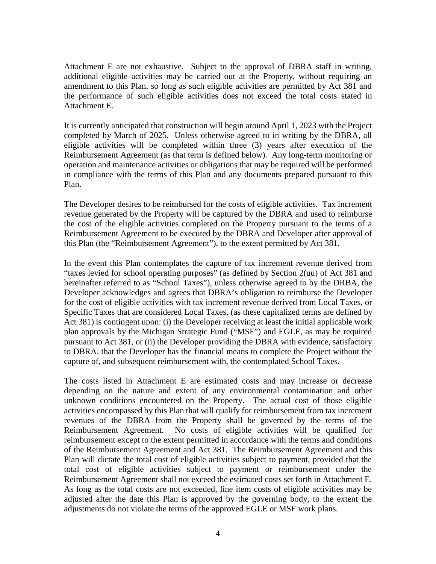Attachment E are not exhaustive. Subject to the approval of DBRA staff in writing, additional eligible activities may be carried out at the Property, without requiring an amendment to this Plan, so long as such eligible activities are permitted by Act 381 and the performance of such eligible activities does not exceed the total costs stated in Attachment E.

It is currently anticipated that construction will begin around April 1, 2023 with the Project completed by March of 2025. Unless otherwise agreed to in writing by the DBRA, all eligible activities will be completed within three (3) years after execution of the Reimbursement Agreement (as that term is defined below). Any long-term monitoring or operation and maintenance activities or obligations that may be required will be performed in compliance with the terms of this Plan and any documents prepared pursuant to this Plan.

The Developer desires to be reimbursed for the costs of eligible activities. Tax increment revenue generated by the Property will be captured by the DBRA and used to reimburse the cost of the eligible activities completed on the Property pursuant to the terms of a Reimbursement Agreement to be executed by the DBRA and Developer after approval of this Plan (the "Reimbursement Agreement"), to the extent permitted by Act 381.

In the event this Plan contemplates the capture of tax increment revenue derived from "taxes levied for school operating purposes" (as defined by Section 2(uu) of Act 381 and hereinafter referred to as "School Taxes"), unless otherwise agreed to by the DRBA, the Developer acknowledges and agrees that DBRA's obligation to reimburse the Developer for the cost of eligible activities with tax increment revenue derived from Local Taxes, or Specific Taxes that are considered Local Taxes, (as these capitalized terms are defined by Act 381) is contingent upon: (i) the Developer receiving at least the initial applicable work plan approvals by the Michigan Strategic Fund ("MSF") and EGLE, as may be required pursuant to Act 381, or (ii) the Developer providing the DBRA with evidence, satisfactory to DBRA, that the Developer has the financial means to complete the Project without the capture of, and subsequent reimbursement with, the contemplated School Taxes.

The costs listed in Attachment E are estimated costs and may increase or decrease depending on the nature and extent of any environmental contamination and other unknown conditions encountered on the Property. The actual cost of those eligible activities encompassed by this Plan that will qualify for reimbursement from tax increment revenues of the DBRA from the Property shall be governed by the terms of the Reimbursement Agreement. No costs of eligible activities will be qualified for reimbursement except to the extent permitted in accordance with the terms and conditions of the Reimbursement Agreement and Act 381. The Reimbursement Agreement and this Plan will dictate the total cost of eligible activities subject to payment, provided that the total cost of eligible activities subject to payment or reimbursement under the Reimbursement Agreement shall not exceed the estimated costs set forth in Attachment E. As long as the total costs are not exceeded, line item costs of eligible activities may be adjusted after the date this Plan is approved by the governing body, to the extent the adjustments do not violate the terms of the approved EGLE or MSF work plans.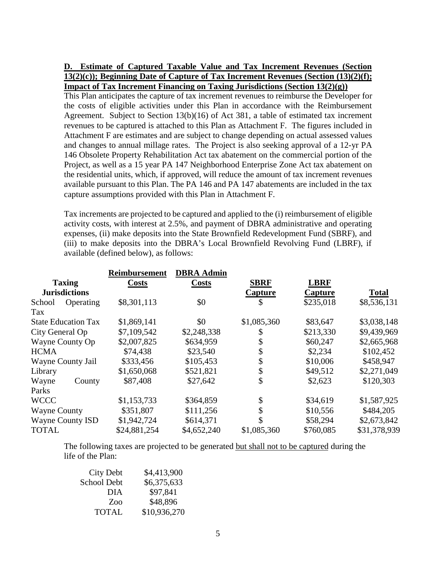#### **D. Estimate of Captured Taxable Value and Tax Increment Revenues (Section 13(2)(c)); Beginning Date of Capture of Tax Increment Revenues (Section (13)(2)(f); Impact of Tax Increment Financing on Taxing Jurisdictions (Section 13(2)(g))**

This Plan anticipates the capture of tax increment revenues to reimburse the Developer for the costs of eligible activities under this Plan in accordance with the Reimbursement Agreement. Subject to Section 13(b)(16) of Act 381, a table of estimated tax increment revenues to be captured is attached to this Plan as Attachment F. The figures included in Attachment F are estimates and are subject to change depending on actual assessed values and changes to annual millage rates. The Project is also seeking approval of a 12-yr PA 146 Obsolete Property Rehabilitation Act tax abatement on the commercial portion of the Project, as well as a 15 year PA 147 Neighborhood Enterprise Zone Act tax abatement on the residential units, which, if approved, will reduce the amount of tax increment revenues available pursuant to this Plan. The PA 146 and PA 147 abatements are included in the tax capture assumptions provided with this Plan in Attachment F.

Tax increments are projected to be captured and applied to the (i) reimbursement of eligible activity costs, with interest at 2.5%, and payment of DBRA administrative and operating expenses, (ii) make deposits into the State Brownfield Redevelopment Fund (SBRF), and (iii) to make deposits into the DBRA's Local Brownfield Revolving Fund (LBRF), if available (defined below), as follows:

|                            | <b>Reimbursement</b> | <b>DBRA Admin</b> |                |             |              |
|----------------------------|----------------------|-------------------|----------------|-------------|--------------|
| <b>Taxing</b>              | <b>Costs</b>         | <b>Costs</b>      | <b>SBRF</b>    | <b>LBRF</b> |              |
| <b>Jurisdictions</b>       |                      |                   | <b>Capture</b> | Capture     | <b>Total</b> |
| Operating<br>School        | \$8,301,113          | \$0               | \$             | \$235,018   | \$8,536,131  |
| Tax                        |                      |                   |                |             |              |
| <b>State Education Tax</b> | \$1,869,141          | \$0               | \$1,085,360    | \$83,647    | \$3,038,148  |
| City General Op            | \$7,109,542          | \$2,248,338       | \$             | \$213,330   | \$9,439,969  |
| Wayne County Op            | \$2,007,825          | \$634,959         | \$             | \$60,247    | \$2,665,968  |
| <b>HCMA</b>                | \$74,438             | \$23,540          | \$             | \$2,234     | \$102,452    |
| Wayne County Jail          | \$333,456            | \$105,453         | \$             | \$10,006    | \$458,947    |
| Library                    | \$1,650,068          | \$521,821         | \$             | \$49,512    | \$2,271,049  |
| Wayne<br>County            | \$87,408             | \$27,642          | \$             | \$2,623     | \$120,303    |
| Parks                      |                      |                   |                |             |              |
| <b>WCCC</b>                | \$1,153,733          | \$364,859         | \$             | \$34,619    | \$1,587,925  |
| <b>Wayne County</b>        | \$351,807            | \$111,256         | \$             | \$10,556    | \$484,205    |
| <b>Wayne County ISD</b>    | \$1,942,724          | \$614,371         | \$             | \$58,294    | \$2,673,842  |
| <b>TOTAL</b>               | \$24,881,254         | \$4,652,240       | \$1,085,360    | \$760,085   | \$31,378,939 |

The following taxes are projected to be generated but shall not to be captured during the life of the Plan:

| <b>City Debt</b>   | \$4,413,900  |
|--------------------|--------------|
| <b>School Debt</b> | \$6,375,633  |
| <b>DIA</b>         | \$97,841     |
| Zoo                | \$48,896     |
| <b>TOTAL</b>       | \$10,936,270 |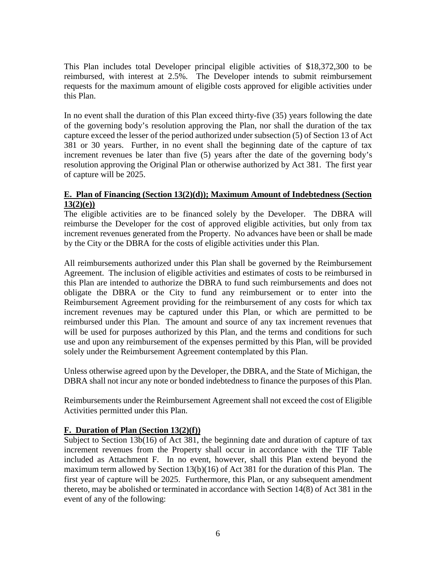This Plan includes total Developer principal eligible activities of \$18,372,300 to be reimbursed, with interest at 2.5%. The Developer intends to submit reimbursement requests for the maximum amount of eligible costs approved for eligible activities under this Plan.

In no event shall the duration of this Plan exceed thirty-five (35) years following the date of the governing body's resolution approving the Plan, nor shall the duration of the tax capture exceed the lesser of the period authorized under subsection (5) of Section 13 of Act 381 or 30 years. Further, in no event shall the beginning date of the capture of tax increment revenues be later than five (5) years after the date of the governing body's resolution approving the Original Plan or otherwise authorized by Act 381. The first year of capture will be 2025.

#### **E. Plan of Financing (Section 13(2)(d)); Maximum Amount of Indebtedness (Section 13(2)(e))**

The eligible activities are to be financed solely by the Developer. The DBRA will reimburse the Developer for the cost of approved eligible activities, but only from tax increment revenues generated from the Property. No advances have been or shall be made by the City or the DBRA for the costs of eligible activities under this Plan.

All reimbursements authorized under this Plan shall be governed by the Reimbursement Agreement. The inclusion of eligible activities and estimates of costs to be reimbursed in this Plan are intended to authorize the DBRA to fund such reimbursements and does not obligate the DBRA or the City to fund any reimbursement or to enter into the Reimbursement Agreement providing for the reimbursement of any costs for which tax increment revenues may be captured under this Plan, or which are permitted to be reimbursed under this Plan. The amount and source of any tax increment revenues that will be used for purposes authorized by this Plan, and the terms and conditions for such use and upon any reimbursement of the expenses permitted by this Plan, will be provided solely under the Reimbursement Agreement contemplated by this Plan.

Unless otherwise agreed upon by the Developer, the DBRA, and the State of Michigan, the DBRA shall not incur any note or bonded indebtedness to finance the purposes of this Plan.

Reimbursements under the Reimbursement Agreement shall not exceed the cost of Eligible Activities permitted under this Plan.

## **F. Duration of Plan (Section 13(2)(f))**

Subject to Section 13b(16) of Act 381, the beginning date and duration of capture of tax increment revenues from the Property shall occur in accordance with the TIF Table included as Attachment F. In no event, however, shall this Plan extend beyond the maximum term allowed by Section 13(b)(16) of Act 381 for the duration of this Plan. The first year of capture will be 2025. Furthermore, this Plan, or any subsequent amendment thereto, may be abolished or terminated in accordance with Section 14(8) of Act 381 in the event of any of the following: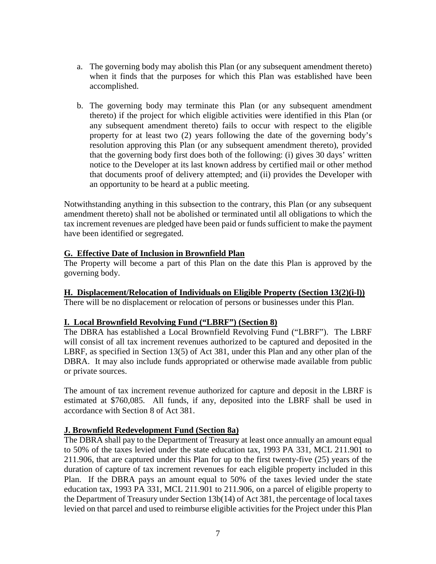- a. The governing body may abolish this Plan (or any subsequent amendment thereto) when it finds that the purposes for which this Plan was established have been accomplished.
- b. The governing body may terminate this Plan (or any subsequent amendment thereto) if the project for which eligible activities were identified in this Plan (or any subsequent amendment thereto) fails to occur with respect to the eligible property for at least two (2) years following the date of the governing body's resolution approving this Plan (or any subsequent amendment thereto), provided that the governing body first does both of the following: (i) gives 30 days' written notice to the Developer at its last known address by certified mail or other method that documents proof of delivery attempted; and (ii) provides the Developer with an opportunity to be heard at a public meeting.

Notwithstanding anything in this subsection to the contrary, this Plan (or any subsequent amendment thereto) shall not be abolished or terminated until all obligations to which the tax increment revenues are pledged have been paid or funds sufficient to make the payment have been identified or segregated.

#### **G. Effective Date of Inclusion in Brownfield Plan**

The Property will become a part of this Plan on the date this Plan is approved by the governing body.

#### **H. Displacement/Relocation of Individuals on Eligible Property (Section 13(2)(i-l))**

There will be no displacement or relocation of persons or businesses under this Plan.

#### **I. Local Brownfield Revolving Fund ("LBRF") (Section 8)**

The DBRA has established a Local Brownfield Revolving Fund ("LBRF"). The LBRF will consist of all tax increment revenues authorized to be captured and deposited in the LBRF, as specified in Section 13(5) of Act 381, under this Plan and any other plan of the DBRA. It may also include funds appropriated or otherwise made available from public or private sources.

The amount of tax increment revenue authorized for capture and deposit in the LBRF is estimated at \$760,085. All funds, if any, deposited into the LBRF shall be used in accordance with Section 8 of Act 381.

#### **J. Brownfield Redevelopment Fund (Section 8a)**

The DBRA shall pay to the Department of Treasury at least once annually an amount equal to 50% of the taxes levied under the state education tax, 1993 PA 331, MCL 211.901 to 211.906, that are captured under this Plan for up to the first twenty-five (25) years of the duration of capture of tax increment revenues for each eligible property included in this Plan. If the DBRA pays an amount equal to 50% of the taxes levied under the state education tax, 1993 PA 331, MCL 211.901 to 211.906, on a parcel of eligible property to the Department of Treasury under Section 13b(14) of Act 381, the percentage of local taxes levied on that parcel and used to reimburse eligible activities for the Project under this Plan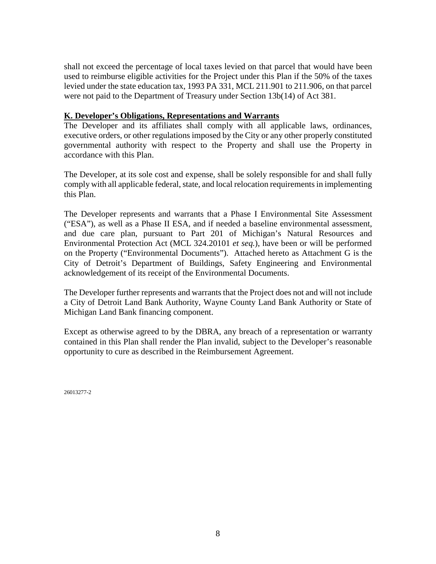shall not exceed the percentage of local taxes levied on that parcel that would have been used to reimburse eligible activities for the Project under this Plan if the 50% of the taxes levied under the state education tax, 1993 PA 331, MCL 211.901 to 211.906, on that parcel were not paid to the Department of Treasury under Section 13b(14) of Act 381.

#### **K. Developer's Obligations, Representations and Warrants**

The Developer and its affiliates shall comply with all applicable laws, ordinances, executive orders, or other regulations imposed by the City or any other properly constituted governmental authority with respect to the Property and shall use the Property in accordance with this Plan.

The Developer, at its sole cost and expense, shall be solely responsible for and shall fully comply with all applicable federal, state, and local relocation requirements in implementing this Plan.

The Developer represents and warrants that a Phase I Environmental Site Assessment ("ESA"), as well as a Phase II ESA, and if needed a baseline environmental assessment, and due care plan, pursuant to Part 201 of Michigan's Natural Resources and Environmental Protection Act (MCL 324.20101 *et seq.*), have been or will be performed on the Property ("Environmental Documents"). Attached hereto as Attachment G is the City of Detroit's Department of Buildings, Safety Engineering and Environmental acknowledgement of its receipt of the Environmental Documents.

The Developer further represents and warrants that the Project does not and will not include a City of Detroit Land Bank Authority, Wayne County Land Bank Authority or State of Michigan Land Bank financing component.

Except as otherwise agreed to by the DBRA, any breach of a representation or warranty contained in this Plan shall render the Plan invalid, subject to the Developer's reasonable opportunity to cure as described in the Reimbursement Agreement.

26013277-2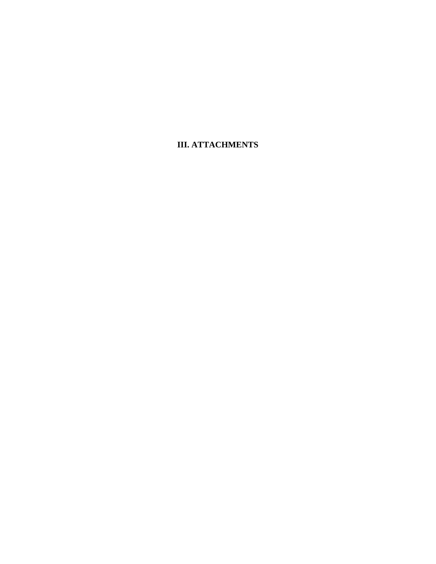**III. ATTACHMENTS**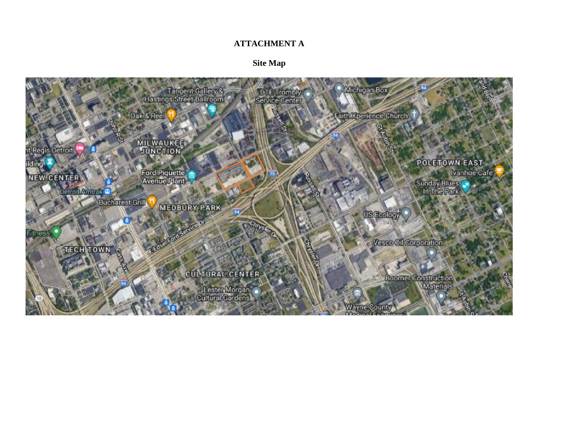#### **ATTACHMENT A**

**Site Map** 

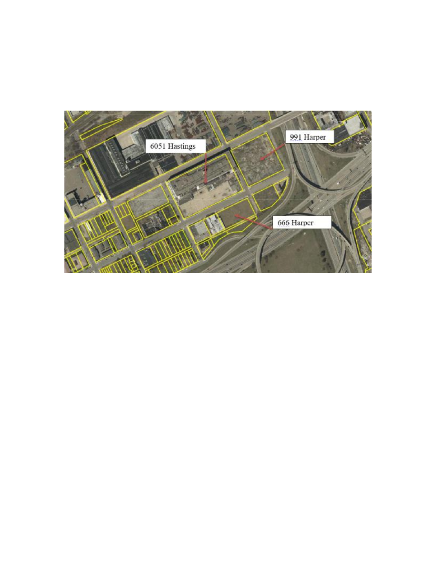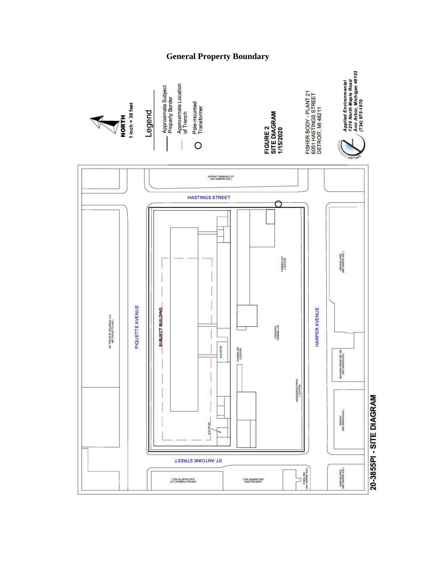## **General Property Boundary**



20-3855PI - SITE DIAGRAM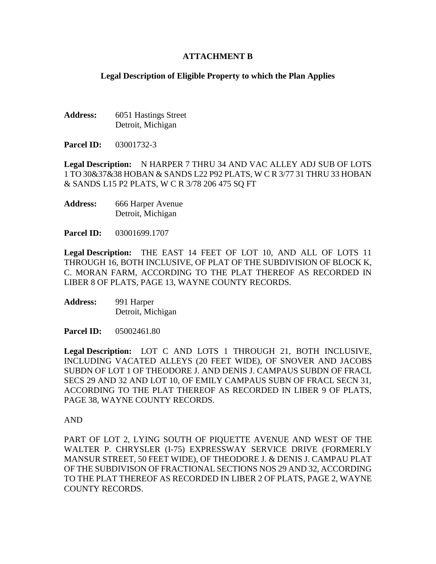#### **ATTACHMENT B**

#### **Legal Description of Eligible Property to which the Plan Applies**

Address: 6051 Hastings Street Detroit, Michigan

**Parcel ID:** 03001732-3

**Legal Description:** N HARPER 7 THRU 34 AND VAC ALLEY ADJ SUB OF LOTS 1 TO 30&37&38 HOBAN & SANDS L22 P92 PLATS, W C R 3/77 31 THRU 33 HOBAN & SANDS L15 P2 PLATS, W C R 3/78 206 475 SQ FT

**Address:** 666 Harper Avenue Detroit, Michigan

**Parcel ID:** 03001699.1707

**Legal Description:** THE EAST 14 FEET OF LOT 10, AND ALL OF LOTS 11 THROUGH 16, BOTH INCLUSIVE, OF PLAT OF THE SUBDIVISION OF BLOCK K, C. MORAN FARM, ACCORDING TO THE PLAT THEREOF AS RECORDED IN LIBER 8 OF PLATS, PAGE 13, WAYNE COUNTY RECORDS.

**Address:** 991 Harper Detroit, Michigan

**Parcel ID:** 05002461.80

**Legal Description:** LOT C AND LOTS 1 THROUGH 21, BOTH INCLUSIVE, INCLUDING VACATED ALLEYS (20 FEET WIDE), OF SNOVER AND JACOBS SUBDN OF LOT 1 OF THEODORE J. AND DENIS J. CAMPAUS SUBDN OF FRACL SECS 29 AND 32 AND LOT 10, OF EMILY CAMPAUS SUBN OF FRACL SECN 31, ACCORDING TO THE PLAT THEREOF AS RECORDED IN LIBER 9 OF PLATS, PAGE 38, WAYNE COUNTY RECORDS.

AND

PART OF LOT 2, LYING SOUTH OF PIQUETTE AVENUE AND WEST OF THE WALTER P. CHRYSLER (I-75) EXPRESSWAY SERVICE DRIVE (FORMERLY MANSUR STREET, 50 FEET WIDE), OF THEODORE J. & DENIS J. CAMPAU PLAT OF THE SUBDIVISON OF FRACTIONAL SECTIONS NOS 29 AND 32, ACCORDING TO THE PLAT THEREOF AS RECORDED IN LIBER 2 OF PLATS, PAGE 2, WAYNE COUNTY RECORDS.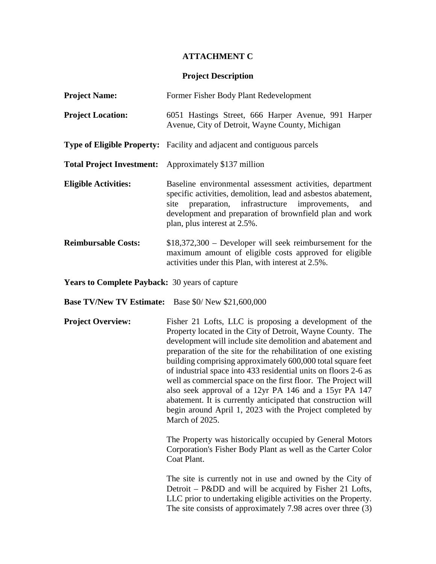#### **ATTACHMENT C**

#### **Project Description**

| <b>Project Name:</b>                                                                                                                                                                                                                                                                                      | Former Fisher Body Plant Redevelopment                                                                                                                                    |  |  |  |  |  |  |  |  |
|-----------------------------------------------------------------------------------------------------------------------------------------------------------------------------------------------------------------------------------------------------------------------------------------------------------|---------------------------------------------------------------------------------------------------------------------------------------------------------------------------|--|--|--|--|--|--|--|--|
| <b>Project Location:</b>                                                                                                                                                                                                                                                                                  | 6051 Hastings Street, 666 Harper Avenue, 991 Harper<br>Avenue, City of Detroit, Wayne County, Michigan                                                                    |  |  |  |  |  |  |  |  |
|                                                                                                                                                                                                                                                                                                           | Type of Eligible Property: Facility and adjacent and contiguous parcels                                                                                                   |  |  |  |  |  |  |  |  |
|                                                                                                                                                                                                                                                                                                           | <b>Total Project Investment:</b> Approximately \$137 million                                                                                                              |  |  |  |  |  |  |  |  |
| <b>Eligible Activities:</b><br>Baseline environmental assessment activities, department<br>specific activities, demolition, lead and asbestos abatement,<br>site preparation, infrastructure improvements, and<br>development and preparation of brownfield plan and work<br>plan, plus interest at 2.5%. |                                                                                                                                                                           |  |  |  |  |  |  |  |  |
| <b>Reimbursable Costs:</b>                                                                                                                                                                                                                                                                                | $$18,372,300$ – Developer will seek reimbursement for the<br>maximum amount of eligible costs approved for eligible<br>activities under this Plan, with interest at 2.5%. |  |  |  |  |  |  |  |  |

**Years to Complete Payback:** 30 years of capture

**Base TV/New TV Estimate:** Base \$0/ New \$21,600,000

**Project Overview:** Fisher 21 Lofts, LLC is proposing a development of the Property located in the City of Detroit, Wayne County. The development will include site demolition and abatement and preparation of the site for the rehabilitation of one existing building comprising approximately 600,000 total square feet of industrial space into 433 residential units on floors 2-6 as well as commercial space on the first floor. The Project will also seek approval of a 12yr PA 146 and a 15yr PA 147 abatement. It is currently anticipated that construction will begin around April 1, 2023 with the Project completed by March of 2025.

> The Property was historically occupied by General Motors Corporation's Fisher Body Plant as well as the Carter Color Coat Plant.

> The site is currently not in use and owned by the City of Detroit – P&DD and will be acquired by Fisher 21 Lofts, LLC prior to undertaking eligible activities on the Property. The site consists of approximately 7.98 acres over three (3)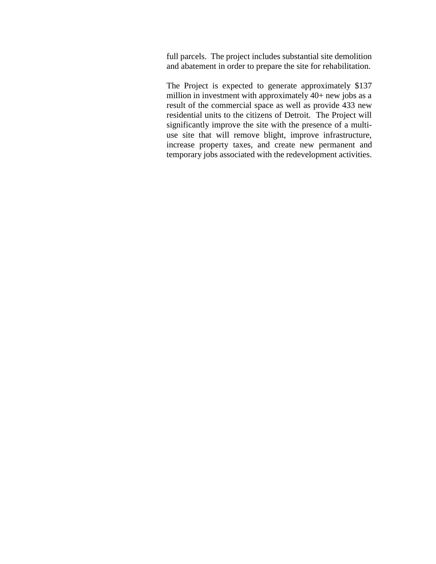full parcels. The project includes substantial site demolition and abatement in order to prepare the site for rehabilitation.

The Project is expected to generate approximately \$137 million in investment with approximately 40+ new jobs as a result of the commercial space as well as provide 433 new residential units to the citizens of Detroit. The Project will significantly improve the site with the presence of a multiuse site that will remove blight, improve infrastructure, increase property taxes, and create new permanent and temporary jobs associated with the redevelopment activities.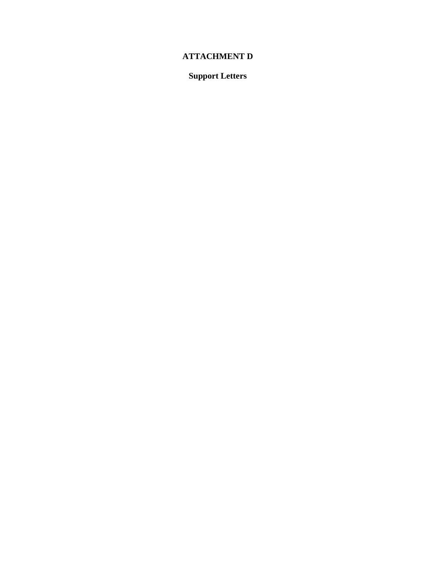# **ATTACHMENT D**

**Support Letters**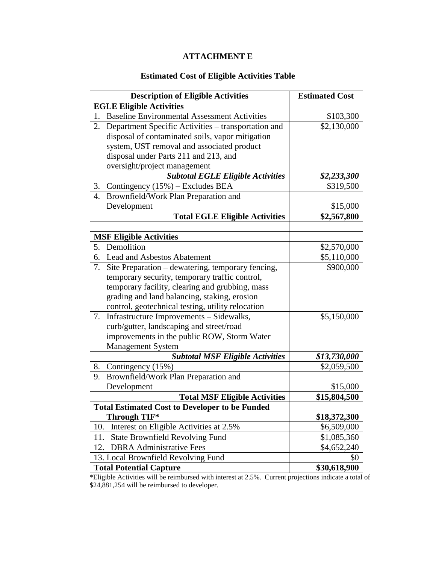# **ATTACHMENT E**

## **Estimated Cost of Eligible Activities Table**

| <b>Description of Eligible Activities</b>                 | <b>Estimated Cost</b> |
|-----------------------------------------------------------|-----------------------|
| <b>EGLE Eligible Activities</b>                           |                       |
| <b>Baseline Environmental Assessment Activities</b><br>1. | \$103,300             |
| Department Specific Activities - transportation and<br>2. | \$2,130,000           |
| disposal of contaminated soils, vapor mitigation          |                       |
| system, UST removal and associated product                |                       |
| disposal under Parts 211 and 213, and                     |                       |
| oversight/project management                              |                       |
| <b>Subtotal EGLE Eligible Activities</b>                  | \$2,233,300           |
| Contingency (15%) - Excludes BEA<br>3.                    | \$319,500             |
| Brownfield/Work Plan Preparation and<br>4.                |                       |
| Development                                               | \$15,000              |
| <b>Total EGLE Eligible Activities</b>                     | \$2,567,800           |
|                                                           |                       |
| <b>MSF Eligible Activities</b>                            |                       |
| Demolition<br>5.                                          | \$2,570,000           |
| 6.<br><b>Lead and Asbestos Abatement</b>                  | \$5,110,000           |
| 7.<br>Site Preparation – dewatering, temporary fencing,   | \$900,000             |
| temporary security, temporary traffic control,            |                       |
| temporary facility, clearing and grubbing, mass           |                       |
| grading and land balancing, staking, erosion              |                       |
| control, geotechnical testing, utility relocation         |                       |
| Infrastructure Improvements - Sidewalks,<br>7.            | \$5,150,000           |
| curb/gutter, landscaping and street/road                  |                       |
| improvements in the public ROW, Storm Water               |                       |
| <b>Management System</b>                                  |                       |
| <b>Subtotal MSF Eligible Activities</b>                   | \$13,730,000          |
| 8.<br>Contingency (15%)                                   | \$2,059,500           |
| Brownfield/Work Plan Preparation and<br>9.                |                       |
| Development                                               | \$15,000              |
| <b>Total MSF Eligible Activities</b>                      | \$15,804,500          |
| <b>Total Estimated Cost to Developer to be Funded</b>     |                       |
| Through TIF*                                              | \$18,372,300          |
| 10.<br>Interest on Eligible Activities at 2.5%            | \$6,509,000           |
| <b>State Brownfield Revolving Fund</b><br>11.             | \$1,085,360           |
| <b>DBRA</b> Administrative Fees<br>12.                    | \$4,652,240           |
| 13. Local Brownfield Revolving Fund                       | \$0                   |
| <b>Total Potential Capture</b>                            | \$30,618,900          |

\*Eligible Activities will be reimbursed with interest at 2.5%. Current projections indicate a total of \$24,881,254 will be reimbursed to developer.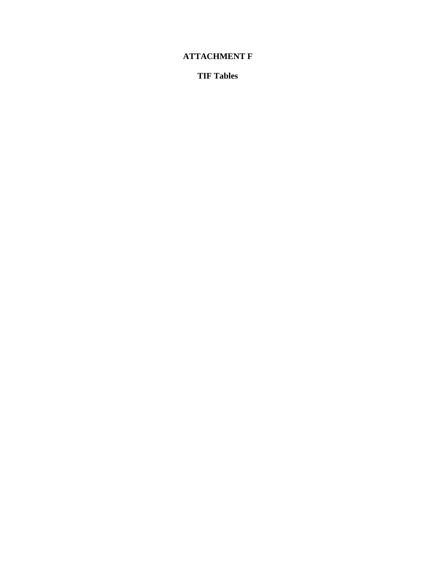# **ATTACHMENT F**

**TIF Tables**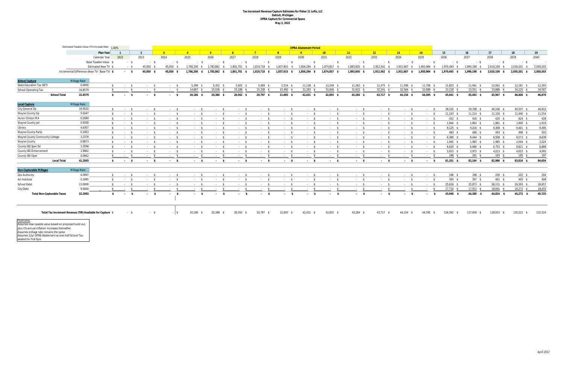#### **Tax Increment Revenue Capture Estimates for Fisher 21 Lofts, LLC Detroit, Michigan OPRA Capture for Commercial Space May 3, 2022**

|                                   | Estimated Taxable Value (TV) Increase Rate: 1.00%          |                       |                |                          | <b>OPRA Abatement Period</b> |                 |            |                                |              |              |              |              |              |                 |              |              |                   |              |                 |             |           |
|-----------------------------------|------------------------------------------------------------|-----------------------|----------------|--------------------------|------------------------------|-----------------|------------|--------------------------------|--------------|--------------|--------------|--------------|--------------|-----------------|--------------|--------------|-------------------|--------------|-----------------|-------------|-----------|
|                                   |                                                            | Plan Year             |                |                          |                              |                 |            |                                |              |              |              | 10           | 11           | 12 <sup>2</sup> | 13           | 14           | 15                | 16           | 17              | 18          | 19        |
|                                   |                                                            | Calendar Year         | 2022           | 2023                     | 2024                         | 2025            | 2026       | 2027                           | 2028         | 2029         | 2030         | 2031         | 2032         | 2033            | 2034         | 2035         | 2036              | 2037         | 2038            | 2039        | 2040      |
|                                   |                                                            | Base Taxable Value \$ | - \$           | $-5$                     | $-5$                         | $-S$            | $-S$       | $-5$                           | $-5$         | $-5$         | $-5$         | $-5$         | $-5$         | $-5$            | $-5$         | $-5$         | - \$              | $-5$         | - \$            | - \$        | $\sim$    |
|                                   |                                                            | Estimated New TV \$   | $-5$           | 45,050                   | 45,050 \$                    | 1,766,200       | 1.783.862  | 1.801.701                      | 1,819,718    | 1,837,915    | 1,856,294    | 1,874,857    | 1,893,605    | 1.912.542       | 1,931,667    | 1,950,984    | 1.970.493         | 1,990,198    | 2.010.100       | 2,030,201   | 2,050,503 |
|                                   | Incremental Difference (New TV - Base TV) \$               |                       | $-5$           | 45,050 \$                | 45,050 \$                    | 1,766,200<br>s. | 1,783,862  | 1,801,701 \$                   | 1,819,718 \$ | 1,837,915 \$ | 1,856,294 \$ | 1,874,857 \$ | 1,893,605 \$ | 1,912,542 \$    | 1,931,667 \$ | 1,950,984 \$ | 1,970,493<br>- \$ | 1,990,198 \$ | 2,010,100 \$    | 2,030,201   | 2,050,503 |
| <b>School Capture</b>             | Millage Rate                                               |                       |                |                          |                              |                 |            |                                |              |              |              |              |              |                 |              |              |                   |              |                 |             |           |
| <b>State Education Tax (SET)</b>  | 6.0000                                                     | -S.                   | $-5$           | $-5$                     | $-5$                         | $5,299$ \$      | $5,352$ \$ | $5,405$ \$                     | $5,459$ \$   | $5,514$ \$   | $11,138$ \$  | $11,249$ \$  | $11,362$ \$  | $11,475$ \$     | 11,590 \$    | 11,706 \$    | $11,823$ \$       | $11,941$ \$  | $12,061$ \$     | $12,181$ \$ | 12,303    |
| <b>School Operating Tax</b>       | 16.8579                                                    | -S                    | $-5$           | $-5$                     | $-5$                         | 14,887 \$       | 15,036 \$  | 15,186 \$                      | 15,338 \$    | 15,492 \$    | $31,293$ \$  | $31,606$ \$  | 31,922 \$    | $32,241$ \$     | $32,564$ \$  | 32,889 \$    | $33,218$ \$       | $33,551$ \$  | 33,886 \$       | 34,225 \$   | 34,567    |
|                                   | <b>School Total</b><br>22.8579                             | s.                    | $\sim$ \$      | $^{\circ}$<br>$\sim 100$ | $-5$                         | 20,186 \$       | 20,388 \$  | 20,592 \$                      | 20,797 \$    | 21,005 \$    | $42,431$ \$  | 42,855 \$    | 43,284 \$    | 43,717 \$       | 44,154 \$    | 44,595 \$    | 45,041 \$         | 45,492 \$    | 45,947 \$       | 46,406 \$   | 46,870    |
| <b>Local Capture</b>              | <b>Millage Rate</b>                                        |                       |                |                          |                              |                 |            |                                |              |              |              |              |              |                 |              |              |                   |              |                 |             |           |
| City General Op                   | 19.9520                                                    | - S                   | $\sim$ \$      | $-$ \$                   | $-5$                         | $\sim$ \$       | $\sim$ \$  | $-5$                           | $-5$         | $-5$         | $-5$         | $-5$         | $-5$         | $-5$            | $-5$         | $\sim$ \$    | 39,315 \$         | 39,708 \$    | 40,106 \$       | 40,507 \$   | 40,912    |
| Wayne County Op                   | 5.6347                                                     | \$                    | $-5$           | $-5$                     | $-5$                         | $-5$            | $-5$       | $-5$                           | $-5$         | $-5$         | $-5$         | $-5$         | $-5$         | $-5$            | $-5$         | $\sim$ \$    | $11,103$ \$       | $11,214$ \$  | $11,326$ \$     | $11,440$ \$ | 11,554    |
| Huron Clinton MA                  | 0.2089                                                     | S.                    | $\sim$ \$      | $-5$                     | $-5$                         | $\sim$ \$       | $-$ \$     | $\sim$ \$                      | $-5$         | $-5$         | $-5$         | $-5$         | $-5$         | - \$            | $-5$         | $-5$         | 412 \$            | 416 \$       | 420 \$          | 424S        | 428       |
| Wayne County Jail                 | 0.9358                                                     | $\ddot{\mathbf{r}}$   | $-5$           | - \$                     | $-5$                         | $\sim$ \$       | $\sim$ \$  | $-5$                           | $-5$         | $-5$         | $-5$         | $-5$         | $-5$         | - \$            | $-5$         | $-5$         | $1.844$ \$        | $1,862$ \$   | $1,881$ \$      | $1.900$ \$  | 1,919     |
| Library                           | 4.6307                                                     | $\mathbf{s}$          | $-5$           | - \$                     | $-5$                         | $\sim$ \$       | $-5$       | $-5$                           | $-5$         | $-5$         | $-5$         | $-5$         | $-5$         | $-5$            | $-5$         | $-5$         | $9,125$ \$        | $9,216$ \$   | $9,308$ \$      | $9,401$ \$  | 9,495     |
| <b>Wayne County Parks</b>         | 0.2453                                                     | $\mathbf{\hat{s}}$    | $-5$           | $-5$                     | $-5$                         | $-5$            | $-5$       | $-5$                           | $-5$         | $-5$         | $-5$         | $-5$         | $-5$         | $-5$            | $-5$         | $\sim$ \$    | 483 \$            | 488 \$       | 493 \$          | 498 \$      | 503       |
| Wayne County Community College    | 3.2378                                                     | - S                   | $-5$           | $-5$                     | $-5$                         | $-5$            | $-5$       | $-5$                           | $-5$         | $-5$         | $-5$         | $-5$         | $-5$         | $-5$            | $-5$         | $-5$         | $6,380$ \$        | $6,444$ \$   | $6,508$ \$      | $6,573$ \$  | 6,639     |
| <b>Wayne County</b>               | 0.9873                                                     | - \$                  | $-5$           | $-5$                     | $-5$                         | $-5$            | $-5$       | $-5$                           | - \$         | $-5$         | $-5$         | $-5$         | $-5$         | - \$            | $-5$         | - \$         | $1,945$ \$        | $1,965$ \$   | $1,985$ \$      | $2,004$ \$  | 2,024     |
| County ISD Spec Ed                | 3.3596                                                     |                       | $-5$           | $-5$                     | $-5$                         | $-5$            | $\sim$ \$  | $\sim$ \$                      | $\sim$ \$    | $-5$         | $-5$         | $-5$         | $-5$         | $\sim$ \$       | $-5$         | $-5$         | $6,620$ \$        | $6,686$ \$   | $6,753$ \$      | $6,821$ \$  | 6,889     |
| County ISD Enhancement            | 1.9962                                                     | - \$                  | $\sim$ \$      | $-5$                     | $-5$                         | $\sim$ \$       | $-5$       | $\sim$ \$                      | $-5$         | $-5$         | $-5$         | $-5$         | $-5$         | $-5$            | $-5$         | $-5$         | $3,933$ \$        | $3,973$ \$   | $4,013$ \$      | $4,053$ \$  | 4,093     |
| County ISD Oper                   | 0.0962                                                     |                       | $\sim$ \$      | $-5$                     | $-5$                         | $\sim$ \$       | $\sim$ \$  | $-5$                           | $\sim$ \$    | $-5$         | $-5$         | $-5$         | $-5$         | $-5$            | $\sim$ \$    | $-5$         | 190S              | 191S         | $193$ \$        | 195 \$      | 197       |
|                                   | <b>Local Total</b><br>41.2845                              | $\mathbf{s}$          | $\sim$ \$      | $-5$                     | $-5$                         | $-$ \$          | $\sim$ \$  | $\sim$ \$                      | $-$ \$       | $-5$         | $\sim$ \$    | $\sim$ \$    | $-5$         | $-5$            | $\sim$ \$    | $-5$         | 81,351 \$         | $82,164$ \$  | 82,986 \$       | 83,816 \$   | 84,654    |
| <b>Non-Capturable Millages</b>    | <b>Millage Rate</b>                                        |                       |                |                          |                              |                 |            |                                |              |              |              |              |              |                 |              |              |                   |              |                 |             |           |
| Zoo Authority                     | 0.0997                                                     |                       | $-5$           | $-5$                     | $-5$                         | $-5$            | $-$ \$     | $\sim$ \$                      | $-5$         | $-5$         | $-5$         | $-5$         | $-5$         | $-5$            | $-5$         | $-5$         | $196$ \$          | 198 \$       | $200$ \$        | 202S        | 204       |
| Art Institute                     | 0.1995                                                     |                       | $-5$           | $-5$                     | $-5$                         | $-5$            | $-5$       | $-5$                           | $-5$         | $-5$         | $-5$         | $-5$         | $-5$         | $-5$            | $-5$         | $-5$         | 393S              | 397S         | 401 \$          | 405 \$      | 409       |
| <b>School Debt</b>                | 13.0000                                                    | - S                   | $-5$           | $-5$                     | $-5$                         | $-5$            | $-5$       | $-5$                           | $-5$         | $-5$         | $-5$         | $-5$         | $-5$         | - \$            | $-5$         | - \$         | $25,616$ \$       | 25,873 \$    | $26,131$ \$     | $26,393$ \$ | 26,657    |
| City Debt                         | 9.0000                                                     |                       | - \$           |                          |                              |                 |            | $\sim$ \$                      |              | $-5$         | $\sim$ \$    | $-5$         | $\sim$ \$    | $-$ \$          |              | - \$         | 17,734 \$         | 17,912 \$    | 18,091 \$       | $18,272$ \$ | 18,455    |
| <b>Total Non-Capturable Taxes</b> | 22.2992                                                    | $\mathbf{s}$          | <b>Service</b> | $\sim$ \$                | <b>Service</b>               | $\sim$ \$       | $\sim$ \$  | $\mathbf{s}$<br><b>Service</b> | $-5$         | $-5$         | $-5$         | $\sim$ \$    | $-5$         | - \$<br>$\sim$  | $\sim$ \$    | $\sim$ \$    | 43,940 \$         | 44,380 \$    | 44,824 \$       | 45,272 \$   | 45,725    |
|                                   | Total Tax Increment Revenue (TIR) Available for Capture \$ |                       | $-$ \$         | - \$                     | - 15                         | 20,186 \$       | 20,388     | 20,592 \$                      | 20,797 \$    | 21,005 \$    | $42,431$ \$  | 42,855 \$    | 43,284 \$    | 43,717          | 44,154       | 44,595       | 126,392 \$        | 127,656 \$   | 128,933<br>- \$ | 130,222 \$  | 131,524   |

Footnotes: Assumes new taxable value based on proposed build out, plus 1% annual inflation increases thereafter Assumes millage rate remains the same Assumes 12yr OPRA Abatement w/one-half School Tax abated for first 6yrs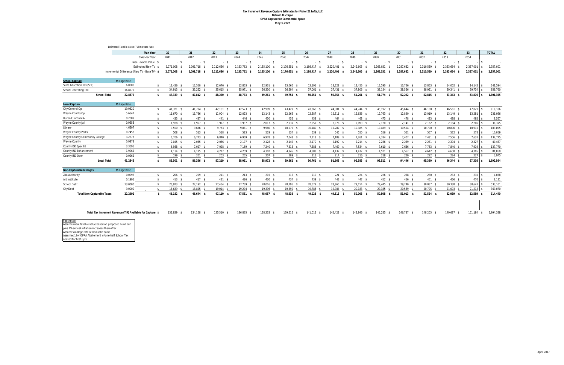#### **Tax Increment Revenue Capture Estimates for Fisher 21 Lofts, LLC Detroit, Michigan OPRA Capture for Commercial Space May 3, 2022**

<u>Footnotes:</u><br>Assumes new taxable value based on proposed build out, plus 1% annual inflation increases thereafter Assumes millage rate remains the same Assumes 12yr OPRA Abatement w/one-half School Tax abated for first 6yrs

|                                       | Estimated Taxable Value (TV) Increase Rate:                |                       |                   |                   |                   |              |             |                   |              |              |                  |                   |              |                   |              |            |              |
|---------------------------------------|------------------------------------------------------------|-----------------------|-------------------|-------------------|-------------------|--------------|-------------|-------------------|--------------|--------------|------------------|-------------------|--------------|-------------------|--------------|------------|--------------|
|                                       |                                                            | Plan Year             | 20                | 21                | 22                | 23           | 24          | 25                | 26           | 27           | 28               | 29                | 30           | 31                | 32           | 33         | <b>TOTAL</b> |
|                                       |                                                            | Calendar Year         | 2041              | 2042              | 2043              | 2044         | 2045        | 2046              | 2047         | 2048         | 2049             | 2050              | 2051         | 2052              | 2053         | 2054       |              |
|                                       |                                                            | Base Taxable Value \$ | $-$ \$            | $-5$              | $-5$              | $-5$         | $-$ \$      | - \$              | - \$         | $-5$         | - \$             | - \$              | $-5$         | - \$              | $-5$         |            |              |
|                                       |                                                            | Estimated New TV \$   | 2,071,008         | 2,091,718<br>- S  | 2,112,636         | 2,133,762    | 2,155,100   | 2,176,651         | 2,198,417    | 2,220,401    | 2,242,605        | 2,265,031         | 2,287,682    | 2,310,559         | 2,333,664    | 2,357,001  | 2,357,001    |
|                                       | Incremental Difference (New TV - Base TV) \$               |                       | 2,071,008<br>- \$ | 2,091,718<br>- \$ | 2,112,636<br>- SS | 2,133,762 \$ | 2,155,100   | 2,176,651<br>- \$ | 2,198,417 \$ | 2,220,401 \$ | 2,242,605<br>- S | 2,265,031<br>- \$ | 2,287,682 \$ | 2,310,559<br>- \$ | 2,333,664 \$ | 2,357,001  | 2,357,001    |
|                                       |                                                            |                       |                   |                   |                   |              |             |                   |              |              |                  |                   |              |                   |              |            |              |
| <b>School Capture</b>                 | <b>Millage Rate</b>                                        |                       |                   |                   |                   |              |             |                   |              |              |                  |                   |              |                   |              |            |              |
| State Education Tax (SET)             | 6.0000                                                     | \$                    | $12,426$ \$       | 12,550 \$         | $12,676$ \$       | 12,803 \$    | 12,931 \$   | 13,060 \$         | $13,191$ \$  | $13,322$ \$  | $13,456$ \$      | 13,590 \$         | $13,726$ \$  | 13,863 \$         | 14,002 \$    | 14,142     | 341,594      |
| <b>School Operating Tax</b>           | 16.8579                                                    | $\mathbf{s}$          | 34,913 \$         | $35,262$ \$       | $35,615$ \$       | 35.971 \$    | $36,330$ \$ | $36.694$ \$       | $37,061$ \$  | $37,431$ \$  | 37,806 \$        | 38,184 \$         | 38,566 \$    | 38,951 \$         | $39,341$ \$  | 39,734     | 959,760      |
| <b>School Total</b>                   | 22.8579                                                    | \$                    | 47,339 \$         | 47,812 \$         | 48,290 \$         | 48,773 \$    | 49,261 \$   | 49,754 \$         | $50,251$ \$  | 50,754 \$    | $51,261$ \$      | 51,774 \$         | $52,292$ \$  | $52,815$ \$       | 53,343 \$    | 53,876     | 1,301,355    |
| <b>Local Capture</b>                  | <b>Millage Rate</b>                                        |                       |                   |                   |                   |              |             |                   |              |              |                  |                   |              |                   |              |            |              |
| City General Op                       | 19.9520                                                    | \$                    | $41,321$ \$       | 41,734 \$         | $42,151$ \$       | 42,573 \$    | 42,999 \$   | 43,429 \$         | 43,863 \$    | 44.301 \$    | 44.744 \$        | 45.192 \$         | 45.644 \$    | 46.100 \$         | 46,561 \$    | 47.027     | 818,186      |
| Wayne County Op                       | 5.6347                                                     | $\sqrt{2}$            | $11,670$ \$       | $11,786$ \$       | $11,904$ \$       | $12,023$ \$  | $12,143$ \$ | $12,265$ \$       | $12,387$ \$  | $12,511$ \$  | $12,636$ \$      | $12,763$ \$       | 12,890 \$    | 13,019 \$         | $13,149$ \$  | 13,281     | 231,066      |
| Huron Clinton MA                      | 0.2089                                                     | \$                    | 433S              | 437 \$            | 441 \$            | 446 \$       | 450 \$      | 455 \$            | 459 \$       | 464 \$       | 468 \$           | 473 \$            | 478 \$       | 483 \$            | 488 \$       | 492        | 8,567        |
| Wayne County Jail                     | 0.9358                                                     | \$                    | $1,938$ \$        | $1,957$ \$        | $1,977$ \$        | $1,997$ \$   | $2,017$ \$  | $2,037$ \$        | $2,057$ \$   | $2,078$ \$   | $2,099$ \$       | $2,120$ \$        | $2,141$ \$   | $2,162$ \$        | $2,184$ \$   | 2,206      | 38,375       |
| Library                               | 4.6307                                                     | \$                    | 9.590 \$          | $9.686$ \$        | $9,783$ \$        | $9,881$ \$   | 9,980 \$    | 10,079 \$         | 10,180 \$    | $10,282$ \$  | 10,385 \$        | 10,489 \$         | 10,594 \$    | 10,700 \$         | 10,806 \$    | 10,915     | 189,895      |
| <b>Wayne County Parks</b>             | 0.2453                                                     | \$                    | 508 \$            | $513$ \$          | $518$ \$          | $523$ \$     | $529$ \$    | $534$ \$          | 539 \$       | 545 \$       | 550 \$           | 556 \$            | $561$ \$     | $567$ \$          | 572 \$       | 578        | 10,059       |
| <b>Wayne County Community College</b> | 3.2378                                                     | \$                    | $6,706$ \$        | $6,773$ \$        | $6,840$ \$        | $6,909$ \$   | $6,978$ \$  | $7,048$ \$        | $7,118$ \$   | $7,189$ \$   | $7,261$ \$       | $7,334$ \$        | $7,407$ \$   | $7,481$ \$        | 7,556 \$     | 7,631      | 132,775      |
| <b>Wayne County</b>                   | 0.9873                                                     | \$                    | $2,045$ \$        | $2,065$ \$        | $2,086$ \$        | $2,107$ \$   | $2,128$ \$  | $2,149$ \$        | $2,170$ \$   | $2,192$ \$   | $2,214$ \$       | $2,236$ \$        | $2,259$ \$   | $2,281$ \$        | $2,304$ \$   | 2,327      | 40,487       |
| County ISD Spec Ed                    | 3.3596                                                     | - \$                  | $6,958$ \$        | $7,027$ \$        | 7,098 \$          | $7,169$ \$   | $7,240$ \$  | $7,313$ \$        | 7,386 \$     | 7,460 \$     | $7,534$ \$       | $7,610$ \$        | 7,686 \$     | $7,763$ \$        | 7,840 \$     | 7,919      | 137,770      |
| <b>County ISD Enhancement</b>         | 1.9962                                                     | \$                    | $4,134$ \$        | $4,175$ \$        | $4,217$ \$        | $4,259$ \$   | $4,302$ \$  | $4,345$ \$        | $4,388$ \$   | $4,432$ \$   | $4,477$ \$       | $4,521$ \$        | $4,567$ \$   | $4,612$ \$        | $4,658$ \$   | 4,705      | 81,860       |
| County ISD Oper                       | 0.0962                                                     | \$                    | 199 \$            | 201S              | 203S              | 205S         | 207S        | 209S              | 211S         | 214S         | 216S             | $218$ \$          | $220$ \$     | $222$ \$          | 224S         | 227        | 3,945        |
| <b>Local Total</b>                    | 41.2845                                                    | \$                    | 85,501 \$         | 86,356 \$         | 87,219 \$         | 88,091 \$    | 88,972 \$   | 89,862 \$         | 90,761 \$    | 91,668 \$    | 92,585 \$        | 93,511 \$         | 94,446 \$    | 95,390 \$         | 96,344 \$    | 97,308     | 1,692,984    |
| <b>Non-Capturable Millages</b>        | <b>Millage Rate</b>                                        |                       |                   |                   |                   |              |             |                   |              |              |                  |                   |              |                   |              |            |              |
| Zoo Authority                         | 0.0997                                                     | \$                    | $206$ \$          | 209 \$            | $211 \text{ }$ \$ | $213$ \$     | $215$ \$    | 217S              | $219$ \$     | $221$ \$     | 224S             | $226$ \$          | $228$ \$     | $230*$            | 233S         | 235        | 4,088        |
| Art Institute                         | 0.1995                                                     | \$                    | 413 \$            | 417 \$            | $421$ \$          | $426$ \$     | 430 \$      | 434S              | 439 \$       | 443 \$       | 447 \$           | 452 \$            | 456 \$       | 461 \$            | 466 \$       | 470        | 8,181        |
| <b>School Debt</b>                    | 13.0000                                                    | \$                    | $26,923$ \$       | 27,192 \$         | $27,464$ \$       | 27,739 \$    | 28,016 \$   | 28,296 \$         | 28,579 \$    | 28,865 \$    | 29,154 \$        | 29,445 \$         | 29,740 \$    | 30,037 \$         | $30,338$ \$  | 30,641     | 533,101      |
| <b>City Debt</b>                      | 9.0000                                                     | $\ddot{\bm{\zeta}}$   | 18,639 \$         | 18,825 \$         | 19,014 \$         | 19,204 \$    | 19,396 \$   | 19,590 \$         | 19,786 \$    | 19,984 \$    | $20,183$ \$      | 20,385 \$         | 20,589 \$    | 20,795 \$         | $21,003$ \$  | 21,213     | 369,070      |
| <b>Total Non-Capturable Taxes</b>     | 22.2992                                                    | -\$                   | 46,182 \$         | 46,644 \$         | 47,110 \$         | 47,581 \$    | 48,057 \$   | 48,538 \$         | 49,023 \$    | 49,513 \$    | $50,008$ \$      | 50,508 \$         | $51,013$ \$  | $51,524$ \$       | 52,039 \$    | 52,559 \$  | 914,440      |
|                                       |                                                            |                       |                   |                   |                   |              |             |                   |              |              |                  |                   |              |                   |              |            |              |
|                                       | Total Tax Increment Revenue (TIR) Available for Capture \$ |                       | 132,839 \$        | 134,168<br>- \$   | 135,510 \$        | 136,865 \$   | 138,233 \$  | 139,616 \$        | 141,012 \$   | 142,422 \$   | 143,846 \$       | 145,285<br>- \$   | 146.737 \$   | 148,205<br>- \$   | 149,687      | 151.184 \$ | 2,994,338    |

| ol Debt                           | 3.0000  | 26.923 | 27.192 | 27.464 | 27.739 | 28.016 | 28.296 | 28.579 | 28,865 | 29 154 | 29.445 | 29,740 |
|-----------------------------------|---------|--------|--------|--------|--------|--------|--------|--------|--------|--------|--------|--------|
| Debt                              | 9.0000  | 18,639 | 18,825 | 19.014 | 19.204 | 19.396 | 19.590 | 19,786 | 19.984 | 20.183 | 20,385 | 20,589 |
| <b>Total Non-Capturable Taxes</b> | 22.2992 | 46.182 | 46.644 | 47.110 | 47.581 | 48.057 | 48.538 | 49.023 | 49,513 | 50.008 | 50.508 | 51,013 |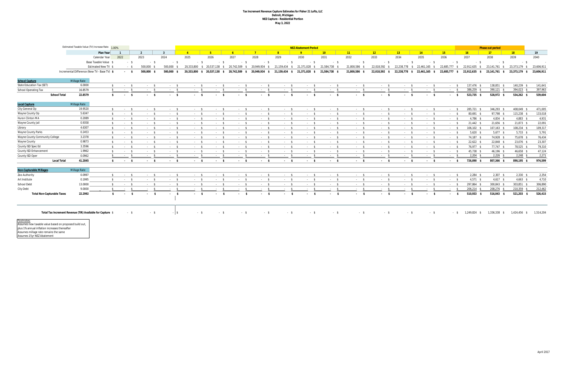#### **Tax Increment Revenue Capture Estimates for Fisher 21 Lofts, LLC Detroit, Michigan NEZ Capture - Residential Portion May 3, 2022**

|                                                                            | Estimated Taxable Value (TV) Increase Rate: 1.00% |                       |                          |           |                    | <b>NEZ Abatement Period</b> |                                              |                            |               |               |                             |                 |            |                        |                 |                             |               |               | Phase out period |               |            |
|----------------------------------------------------------------------------|---------------------------------------------------|-----------------------|--------------------------|-----------|--------------------|-----------------------------|----------------------------------------------|----------------------------|---------------|---------------|-----------------------------|-----------------|------------|------------------------|-----------------|-----------------------------|---------------|---------------|------------------|---------------|------------|
|                                                                            |                                                   | Plan Year             |                          |           | $\mathbf{R}$       | $\mathbf{A}$                | $-5$                                         | $-6$                       |               |               |                             | 10 <sup>°</sup> | $-11$      | 12                     | 13 <sup>°</sup> | 14                          | 15            | $-16$         | $-17$            | 18            | 19         |
|                                                                            |                                                   | Calendar Year         | 2022                     | 2023      | 2024               | 2025                        | 2026                                         | 2027                       | 2028          | 2029          | 2030                        | 2031            | 2032       | 2033                   | 2034            | 2035                        | 2036          | 2037          | 2038             | 2039          | 2040       |
|                                                                            |                                                   | Base Taxable Value \$ | $-5$                     |           | - \$               | $-S$                        | $-5$<br>$-S$                                 | $-5$                       | - \$          | $-5$          | $-5$                        | $-5$            | $-5$       | $-5$                   | $-5$            | $-5$                        | - \$          | $-5$          | - \$             | - \$          | $\sim$     |
|                                                                            |                                                   | Estimated New TV \$   | $-5$                     | 500,000   | 500.000 \$         | 20,333,800                  | \$ 20,537,138 \$ 20,742,509 \$ 20,949,934 \$ |                            |               |               | 21,159,434 \$ 21,371,028 \$ | 21,584,738 \$   | 21,800,586 | 22,018,592 \$          |                 | 22,238,778 \$ 22,461,165 \$ | 22,685,777 \$ | 22,912,635 \$ | 23,141,761 \$    | 23,373,179 \$ | 23,606,911 |
|                                                                            | Incremental Difference (New TV - Base TV) \$      |                       | $-5$                     | 500,000   | 500,000 \$         |                             | 20,333,800 \$ 20,537,138<br>$\mathbf{s}$     | 20,742,509<br>$\mathbf{s}$ | 20.949.934 \$ | 21,159,434 \$ | 21,371,028 \$               | 21,584,738 \$   | 21,800,586 | 22,018,592             | 22,238,778 \$   | 22,461,165                  | 22,685,777    | 22,912,635    | 23,141,761 \$    | 23,373,179    | 23,606,911 |
|                                                                            |                                                   |                       |                          |           |                    |                             |                                              |                            |               |               |                             |                 |            |                        |                 |                             |               |               |                  |               |            |
| <b>School Capture</b>                                                      | Millage Rate                                      |                       |                          |           |                    |                             |                                              |                            |               |               |                             |                 |            |                        |                 |                             |               |               |                  |               |            |
| <b>State Education Tax (SET)</b>                                           | 6.0000                                            | <b>S</b>              | $-5$                     | $-5$      |                    | $-5$                        | $-5$<br>$-$ \$                               | $-5$                       | $-5$          | $-5$          | $\sim$ \$                   | $-5$            | $-5$       | $-5$                   | $-5$            | $-5$                        | $-5$          | 137,476 \$    | 138,851 \$       | 140,239 \$    | 141,641    |
| <b>School Operating Tax</b>                                                | 16.8579                                           | $\mathsf{s}$          | $-5$                     | $-5$      |                    | $\sim$ \$<br>$-5$           | $-5$                                         | $-5$                       | $-5$          | $-5$          | $-5$                        | $-5$            | $-5$       | $-5$                   | $-5$            | $\sim$ \$                   | $\sim$ \$     | 386,259 \$    | 390,121 \$       | 394,023 \$    | 397,963    |
| <b>School Total</b>                                                        | 22.8579                                           | - \$                  | $-5$                     | $-5$      |                    | $-5$                        | $\sim$ \$<br>$-5$                            | $\sim$ \$                  | $\sim$ \$     | $-5$          | $\sim$ \$                   | $-5$            | $-5$       | $-5$                   | $\sim$ \$       | $-5$                        | - \$          | 523,735 \$    | 528,972 \$       | 534,262 \$    | 539,604    |
|                                                                            |                                                   |                       |                          |           |                    |                             |                                              |                            |               |               |                             |                 |            |                        |                 |                             |               |               |                  |               |            |
| Local Capture                                                              | Millage Rate                                      |                       |                          |           |                    |                             |                                              |                            |               |               |                             |                 |            |                        |                 |                             |               |               |                  |               |            |
| City General Op                                                            | 19.9520                                           | $\mathsf{s}$          | $-5$                     | $-5$      |                    | $-5$                        | $-5$<br>$-5$                                 | $-5$                       | $\sim$ \$     | $-5$          | $-5$                        | $-5$            | $-5$       | $-5$                   | $-5$            | $-5$                        | $-5$          | 285,721 \$    | 346,293 \$       | 408,049 \$    | 471,005    |
| Wayne County Op                                                            | 5.6347                                            | \$                    | $-5$                     | $-5$      |                    | $-5$                        | $-5$<br>$-5$                                 | $-5$                       | $-5$          | $-5$          | $-5$                        | $-5$            | $-5$       | $-5$                   | $-5$            | $\sim$ \$                   | - \$          | 80,691 \$     | 97,798 \$        | 115,238 \$    | 133,018    |
| <b>Huron Clinton MA</b>                                                    | 0.2089                                            | \$                    | $-5$                     | $\sim$ \$ |                    | $-5$                        | $-5$<br>$\sim$ \$                            | $-5$                       | $-5$          | $-5$          | $-5$                        | $-5$            | $-5$       | $-5$                   | $-5$            | $-5$                        | - \$          | $4,786$ \$    | $4,834$ \$       | $4,883$ \$    | 4,931      |
| Wayne County Jail                                                          | 0.9358                                            | - S                   | $-5$                     | $-5$      |                    | $-5$                        | $-5$<br>$-5$                                 | $-5$                       | $-5$          | $-5$          | $-5$                        | $-5$            | $-5$       | $-5$                   | $-5$            | $-5$                        | - \$          | $21,442$ \$   | 21,656 \$        | 21,873 \$     | 22,091     |
| Library                                                                    | 4.6307                                            | $\mathbf{\hat{s}}$    | $-5$                     | $-5$      |                    | $-5$                        | $-5$<br>$-$ \$                               | $\sim$ \$                  | $-5$          | $-5$          | $\sim$ \$                   | $-5$            | $-5$       | $-5$                   | $-5$            | $-5$                        | $\sim$ \$     | 106,102 \$    | $107,163$ \$     | 108,234 \$    | 109,317    |
| <b>Wayne County Parks</b>                                                  | 0.2453                                            | - S                   | $-5$                     | $-5$      |                    | $-5$                        | $-5$<br>$-5$                                 | - \$                       | $-5$          | $-5$          | $\sim$ \$                   | $-5$            | $-5$       | $-5$                   | $-5$            | $\sim$ \$                   | $\sim$ \$     | $5,620$ \$    | $5,677$ \$       | $5,733$ \$    | 5,791      |
| Wayne County Community College                                             | 3.2378                                            | - \$                  | $-5$                     |           | $-5$               | $-5$                        | $-5$<br>$-5$                                 | $-5$                       | $-5$          | $-5$          | $-5$                        | $-5$            | $-5$       | $-5$                   | $-5$            | $\sim$ \$                   | $\sim$ \$     | 74,187 \$     | 74,928 \$        | 75,678 \$     | 76,434     |
| <b>Wayne County</b>                                                        | 0.9873                                            | \$                    | $-5$                     | $-5$      |                    | $-5$                        | $-5$<br>$-5$                                 | $-5$                       | $-5$          | $-5$          | $-5$                        | $-5$            | $-5$       | $-5$                   | $-5$            | $-5$                        | - \$          | $22,622$ \$   | 22,848 \$        | 23,076 \$     | 23,307     |
| County ISD Spec Ed                                                         | 3.3596                                            | - S                   | $\sim$ \$                | $-5$      |                    | $-5$                        | $-5$<br>$\sim$ \$                            | $-$ \$                     | $-5$          | $-5$          | $\sim$ \$                   | $-5$            | $-5$       | $\sim$ \$              | $\sim$ \$       | $\sim$ \$                   | $\sim$ \$     | 76,977 \$     | 77,747 \$        | 78,525 \$     | 79,310     |
| <b>County ISD Enhancement</b>                                              | 1.9962                                            | - \$                  | $\sim$ \$                | $-5$      |                    | $-5$                        | $-5$<br>$\sim$ \$                            | $-5$                       | $-5$          | $-5$          | $\sim$ \$                   | $-5$            | $-5$       | $\sim$ \$              | $-5$            | $\sim$ \$                   | $\sim$ \$     | 45,738 \$     | 46,196 \$        | 46,658 \$     | 47,124     |
| County ISD Oper                                                            | 0.0962                                            |                       | $-5$                     | $-5$      |                    | $\sim$ \$<br>$\sim$ \$      | $-5$                                         | $-5$                       | $-5$          | $-5$          | $\sim$ \$                   | $-5$            | $-5$       | $-$ \$                 | $-5$            | $\sim$ \$                   | - \$          | $2,204$ \$    | $2,226$ \$       | $2,248$ \$    | 2,271      |
| <b>Local Total</b>                                                         | 41.2845                                           | -\$                   | $\sim$ \$                | $\sim$ \$ |                    | $-5$                        | $\sim$ \$<br>$\sim$ \$                       | $-5$                       | $-5$          | $-5$          | $\sim$ \$                   | $-5$            | $\sim$ \$  | $-5$                   | $-$ \$          | $-5$                        | $\sim$ \$     | 726,090 \$    | 807,366 \$       | 890,195 \$    | 974,599    |
|                                                                            |                                                   |                       |                          |           |                    |                             |                                              |                            |               |               |                             |                 |            |                        |                 |                             |               |               |                  |               |            |
| <b>Non-Capturable Millages</b>                                             | <b>Millage Rate</b>                               |                       |                          |           |                    |                             |                                              |                            |               |               |                             |                 |            |                        |                 |                             |               |               |                  |               |            |
| Zoo Authority                                                              | 0.0997                                            |                       | $-5$                     | $-5$      |                    | $-5$<br>$-$ \$              | $-5$                                         | $-5$                       | $-5$          | $-5$          | $-5$                        | $-5$            | $-5$       | $-5$                   | $-5$            | $-5$                        | $\sim$ \$     | $2,284$ \$    | $2,307$ \$       | $2,330$ \$    | 2,354      |
| Art Institute                                                              | 0.1995                                            | s.                    | $-5$                     | $-5$      |                    | $-5$<br>$-5$                | $-5$                                         | $\sim$ \$                  | $-5$          | $-5$          | $-5$                        | $-5$            | $-5$       | $-5$                   | $-5$            | $\sim$ \$                   | - \$          | $4,571$ \$    | $4,617$ \$       | $4,663$ \$    | 4,710      |
| <b>School Debt</b>                                                         | 13.0000                                           |                       | $-5$                     | $-5$      |                    | $-5$                        | $\sim$ \$<br>$-$ S                           | $\sim$ \$                  | $-5$          | $-5$          | $\sim$ S                    | $-5$            | $-5$       | $-5$                   | $\sim$ \$       | $-5$                        | - \$          | 297,864 \$    | 300,843 \$       | 303,851 \$    | 306,890    |
| City Debt                                                                  | 9.0000                                            |                       | $\sim$ \$                | $-$ \$    |                    | $-$ \$                      | $\sim$ \$                                    | $\sim$ \$                  | $\sim$ \$     | $-5$          | $\sim$ \$                   | $-5$            | $-5$       | $\sim$ \$              |                 | $\sim$ \$                   |               | $206,214$ \$  | 208,276 \$       | 210,359 \$    | 212,462    |
| <b>Total Non-Capturable Taxes</b>                                          | 22.2992                                           | $\mathbf{s}$          | <b>Contract Contract</b> | $\sim$    | - \$<br>$\sim$ $-$ |                             | $-5$<br>$\sim$ \$                            | <b>Service</b>             | $\sim$ \$     | $\sim$ \$     | $-5$                        | $-5$            | $\sim$ \$  | $\mathbf{s}$<br>$\sim$ | $\sim$ \$       | $-5$                        |               | 510,933 \$    | 516,043 \$       | 521,203 \$    | 526,415    |
|                                                                            |                                                   |                       |                          |           |                    |                             |                                              |                            |               |               |                             |                 |            |                        |                 |                             |               |               |                  |               |            |
|                                                                            |                                                   |                       |                          |           |                    |                             |                                              |                            |               |               |                             |                 |            |                        |                 |                             |               |               |                  |               |            |
|                                                                            |                                                   |                       |                          |           |                    |                             |                                              |                            |               |               |                             |                 |            |                        |                 |                             |               |               |                  |               |            |
| Total Tax Increment Revenue (TIR) Available for Capture \$<br>$-5$<br>- \$ |                                                   |                       |                          |           | $ \sqrt{5}$        | - \$<br>- \$                | $-5$                                         | $-S$                       | $-5$          | - \$          | $-$ \$                      | $-$ \$          | $-5$       | $- S$                  | $-5$            | - \$                        | 1,249,824 \$  | 1,336,338 \$  | 1,424,456 \$     | 1,514,204     |            |
|                                                                            |                                                   |                       |                          |           |                    |                             |                                              |                            |               |               |                             |                 |            |                        |                 |                             |               |               |                  |               |            |

Footnotes: Assumes new taxable value based on proposed build out, plus 1% annual inflation increases thereafter Assumes millage rate remains the same Assumes 15yr NEZ Abatement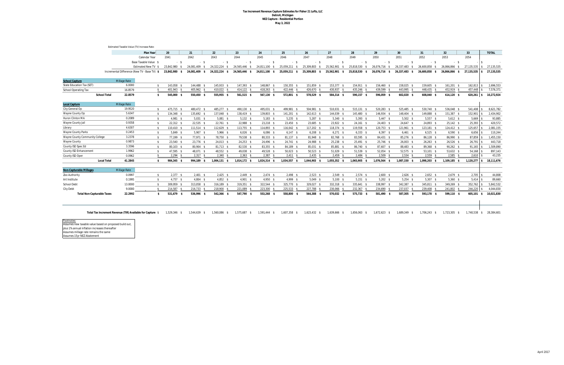#### **Tax Increment Revenue Capture Estimates for Fisher 21 Lofts, LLC Detroit, Michigan NEZ Capture - Residential Portion May 3, 2022**

<u>Footnotes:</u><br>Assumes new taxable value based on proposed build out, plus 1% annual inflation increases thereafter Assumes millage rate remains the same Assumes 15yr NEZ Abatement

|                                       | Estimated Taxable Value (TV) Increase Rate:                |                       |                   |                   |                     |               |               |                   |                    |               |                    |                   |                    |                |               |              |                  |
|---------------------------------------|------------------------------------------------------------|-----------------------|-------------------|-------------------|---------------------|---------------|---------------|-------------------|--------------------|---------------|--------------------|-------------------|--------------------|----------------|---------------|--------------|------------------|
|                                       |                                                            | Plan Year             | 20                | 21                | 22                  | 23            | 24            | 25                | 26                 | 27            | 28                 | 29                | 30                 | 31             | 32            | 33           | <b>TOTAL</b>     |
|                                       |                                                            | Calendar Year         | 2041              | 2042              | 2043                | 2044          | 2045          | 2046              | 2047               | 2048          | 2049               | 2050              | 2051               | 2052           | 2053          | 2054         |                  |
|                                       |                                                            | Base Taxable Value \$ | $-5$              | $-5$              | $-5$                | $-5$          | $-5$          | $-5$              | $-5$               | $-5$          | $-5$               | $-5$              | $-5$               | $-5$           | $-5$          |              |                  |
|                                       |                                                            | Estimated New TV \$   | 23,842,980        | 24,081,409        | 24,322,224          | 24,565,446    | 24,811,100    | 25,059,211        | 25,309,803<br>- \$ | 25,562,901    | 25,818,530<br>- SS | 26,076,716<br>- S | 26,337,483<br>- \$ | 26.600.858     | 26,866,866    | 27,135,535   | 27,135,535       |
|                                       | Incremental Difference (New TV - Base TV) \$               |                       | 23,842,980<br>- S | 24,081,409<br>-S  | 24,322,224 \$       | 24,565,446 \$ | 24,811,100 \$ | 25,059,211 \$     | 25,309,803 \$      | 25,562,901 \$ | 25,818,530 \$      | 26,076,716 \$     | 26,337,483 \$      | 26,600,858 \$  | 26,866,866 \$ | 27,135,535   | 27,135,535       |
| <b>School Capture</b>                 | <b>Millage Rate</b>                                        |                       |                   |                   |                     |               |               |                   |                    |               |                    |                   |                    |                |               |              |                  |
| <b>State Education Tax (SET)</b>      | 6.0000                                                     | - \$                  | 143,058 \$        | 144,488 \$        | 145,933 \$          | 147,393 \$    | 148,867 \$    | 150,355 \$        | 151,859 \$         | 153,377 \$    | 154,911 \$         | 156,460 \$        | 158,025 \$         | 159,605 \$     | 161,201 \$    | 162,813      | 2,696,553        |
| <b>School Operating Tax</b>           | 16.8579                                                    | - \$                  | 401,943 \$        | 405,962 \$        | 410,022 \$          | 414,122 \$    | 418,263 \$    | 422,446 \$        | 426,670 \$         | 430,937 \$    | 435,246 \$         | 439,599 \$        | 443,995 \$         | 448,435 \$     | 452,919 \$    | 457,448      | 7,576,371        |
| <b>School Total</b>                   | 22.8579                                                    | \$                    | 545,000 \$        | 550,450 \$        | 555,955 \$          | 561,515 \$    | 567,130 \$    | 572,801 \$        | 578,529 \$         | 584,314 \$    | 590,157 \$         | 596,059 \$        | 602,020 \$         | 608,040 \$     | 614,120 \$    | $620,261$ \$ | 10,272,924       |
| <b>Local Capture</b>                  | Millage Rate                                               |                       |                   |                   |                     |               |               |                   |                    |               |                    |                   |                    |                |               |              |                  |
| City General Op                       | 19.9520                                                    | \$                    | 475,715 \$        | 480,472 \$        | 485,277 \$          | 490,130 \$    | 495,031 \$    | 499,981 \$        | 504,981 \$         | 510,031 \$    | $515,131$ \$       | 520.283 \$        | 525,485 \$         | 530,740 \$     | 536,048 \$    | 541.408      | 8,621,782        |
| Wayne County Op                       | 5.6347                                                     | \$                    | 134,348 \$        | 135,692 \$        | 137,048 \$          | 138,419 \$    | 139,803 \$    | 141,201 \$        | 142,613 \$         | 144,039 \$    | 145,480 \$         | 146,934 \$        | 148,404 \$         | 149,888 \$     | 151,387 \$    | 152,901      | 2,434,902        |
| <b>Huron Clinton MA</b>               | 0.2089                                                     | \$                    | $4,981$ \$        | $5,031$ \$        | $5,081$ \$          | $5,132$ \$    | $5,183$ \$    | $5,235$ \$        | $5,287$ \$         | $5,340$ \$    | $5,393$ \$         | $5,447$ \$        | $5,502$ \$         | $5,557$ \$     | $5,612$ \$    | 5,669        | 93,885           |
| Wayne County Jail                     | 0.9358                                                     | \$                    | 22,312 \$         | 22,535 \$         | $22,761$ \$         | 22,988 \$     | 23,218 \$     | 23,450 \$         | 23,685 \$          | 23,922 \$     | $24,161$ \$        | 24,403 \$         | 24,647 \$          | 24,893 \$      | $25,142$ \$   | 25,393       | 420,572          |
| Library                               | 4.6307                                                     | \$                    | 110,410 \$        | 111,514 \$        | 112,629 \$          | 113,755 \$    | 114,893 \$    | 116,042 \$        | 117,202 \$         | 118,374 \$    | 119,558 \$         | 120,753 \$        | 121,961 \$         | 123,181 \$     | 124,412 \$    | 125,657      | 2,081,155        |
| <b>Wayne County Parks</b>             | 0.2453                                                     | \$                    | $5,849$ \$        | $5,907$ \$        | $5,966$ \$          | $6,026$ \$    | $6,086$ \$    | $6,147$ \$        | $6,208$ \$         | $6,271$ \$    | $6,333$ \$         | $6,397$ \$        | $6,461$ \$         | $6,525$ \$     | $6,590$ \$    | 6,656        | 110,244          |
| <b>Wayne County Community College</b> | 3.2378                                                     | \$                    | 77,199 \$         | 77,971 \$         | 78,750 \$           | 79,538 \$     | 80,333 \$     | $81,137$ \$       | 81,948 \$          | 82,768 \$     | 83,595 \$          | 84,431 \$         | 85,276 \$          | 86,128 \$      | 86,990 \$     | 87,859       | 1,455,150        |
| <b>Wayne County</b>                   | 0.9873                                                     | \$                    | 23,540 \$         | 23,776 \$         | 24,013 \$           | 24,253 \$     | 24,496 \$     | 24,741 \$         | 24,988 \$          | 25,238 \$     | 25,491 \$          | $25,746$ \$       | $26,003$ \$        | $26,263$ \$    | $26,526$ \$   | 26,791       | 443,718          |
| <b>County ISD Spec Ed</b>             | 3.3596                                                     | \$                    | 80,103 \$         | 80,904 \$         | 81,713 \$           | 82,530 \$     | 83,355 \$     | 84,189 \$         | 85,031 \$          | 85,881 \$     | 86,740 \$          | 87,607 \$         | 88,483 \$          | 89,368 \$      | 90,262 \$     | 91,165       | 1,509,890        |
| <b>County ISD Enhancement</b>         | 1.9962                                                     | \$                    | 47,595 \$         | 48,071 \$         | 48,552 \$           | 49.038 \$     | 49,528 \$     | $50.023$ \$       | $50,523$ \$        | 51,029 \$     | 51,539 \$          | 52,054 \$         | 52,575 \$          | $53,101$ \$    | 53,632 \$     | 54,168       | 897,143          |
| County ISD Oper                       | 0.0962                                                     | $\mathbf{\hat{S}}$    | $2,294$ \$        | $2,317$ \$        | $2,340$ \$          | $2,363$ \$    | $2,387$ \$    | $2,411$ \$        | $2,435$ \$         | $2,459$ \$    | $2,484$ \$         | $2,509$ \$        | $2,534$ \$         | $2,559$ \$     | $2,585$ \$    | 2,610        | 43,235           |
| <b>Local Total</b>                    | 41.2845                                                    | -S                    | 984,345 \$        | 994,189 \$        | $1,004,131$ \$      | 1,014,172 \$  | 1,024,314 \$  | 1,034,557 \$      | 1,044,903 \$       | 1,055,352 \$  | 1,065,905 \$       | 1,076,564 \$      | 1,087,330 \$       | 1,098,203 \$   | 1,109,185 \$  | 1,120,277    | 18,111,676       |
| <b>Non-Capturable Millages</b>        | Millage Rate                                               |                       |                   |                   |                     |               |               |                   |                    |               |                    |                   |                    |                |               |              |                  |
| Zoo Authority                         | 0.0997                                                     | \$                    | $2,377$ \$        | $2,401$ \$        | $2,425$ \$          | $2,449$ \$    | $2,474$ \$    | $2,498$ \$        | $2,523$ \$         | $2,549$ \$    | $2,574$ \$         | $2,600$ \$        | $2,626$ \$         | $2,652$ \$     | $2,679$ \$    | 2,705        | 44,808           |
| Art Institute                         | 0.1995                                                     | \$                    | $4,757$ \$        | $4,804$ \$        | $4,852$ \$          | $4,901$ \$    | $4,950$ \$    | 4,999 \$          | $5,049$ \$         | $5,100$ \$    | $5,151$ \$         | $5,202$ \$        | $5,254$ \$         | $5,307$ \$     | $5,360$ \$    | 5,414        | 89,660           |
| <b>School Debt</b>                    | 13.0000                                                    | \$                    | 309,959 \$        | 313,058 \$        | 316,189 \$          | 319,351 \$    | 322,544 \$    | 325,770 \$        | 329,027 \$         | 332,318 \$    | 335,641 \$         | 338,997 \$        | 342,387 \$         | 345,811 \$     | 349,269 \$    | 352,762      | 5,842,532        |
| <b>City Debt</b>                      | 9.0000                                                     |                       | 214,587           | 216,733           | 218,900             | 221,089       | 223,300       | 225,533           | 227,788            | 230,066       | 232,367            | 234,690           | 237,037            | 239,408        | 241,802 \$    | 244,220      | 4,044,830        |
| <b>Total Non-Capturable Taxes</b>     | 22.2992                                                    | - \$                  | 531.679 \$        | 536,996<br>S.     | 542,366             | 547,790 \$    | 553,268       | 558,800<br>- \$   | 564,388            | 570,032 \$    | 575.733 \$         | 581.490<br>- \$   | 587.305<br>- \$    | 593.178 \$     | 599.110 \$    | $605,101$ \$ | 10,021,830       |
|                                       |                                                            |                       |                   |                   |                     |               |               |                   |                    |               |                    |                   |                    |                |               |              |                  |
|                                       | Total Tax Increment Revenue (TIR) Available for Capture \$ |                       | 1.529.346 \$      | 1.544.639<br>- \$ | 1.560.086<br>$\sim$ | 1.575.687 \$  | 1.591.444 \$  | 1.607.358<br>- \$ | $1.623.432$ \$     | 1,639,666 \$  | 1.656.063<br>S.    | 1.672.623<br>- \$ | 1.689,349 \$       | $1.706.243$ \$ | 1.723.305 \$  | 1.740.538    | 28.384.601<br>\$ |

| iool Debt                         | 13.0000 | 309.959 | 313.058 | 316.189 | 319.351 | 322,544 | 325.770 | 329,027 | 332,318 | 335,641 | 338,997 | 342,387 \$ |
|-----------------------------------|---------|---------|---------|---------|---------|---------|---------|---------|---------|---------|---------|------------|
| v Debt                            | 9.0000  | 214.587 | 216.733 | 218.900 | 221.089 | 223,300 | 225,533 | 227.788 | 230,066 | 232,367 | 234.690 | 237,037    |
| <b>Total Non-Capturable Taxes</b> | 22.2992 | 531.679 | 536.996 | 542.366 | 547,790 | 553,268 | 558,800 | 564,388 | 570,032 | 575,733 | 581,490 | 587,305 \$ |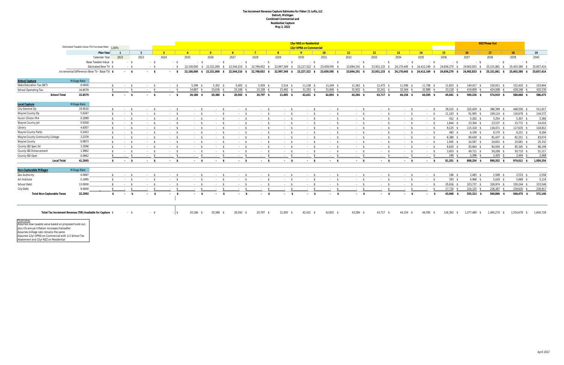#### **Tax Increment Revenue Capture Estimates for Fisher 21 Lofts, LLC Detroit, Michigan Combined Commercial and Residential Capture May 3, 2022**

|                                   |                     |                                                            |              |                 |                |                      |                        |                                |            |                                                         |                         |                | 15yr NEZ on Residential     |                 |               |               |                        |                             |                |               | <b>NEZ Phase Out</b>                                    |              |               |
|-----------------------------------|---------------------|------------------------------------------------------------|--------------|-----------------|----------------|----------------------|------------------------|--------------------------------|------------|---------------------------------------------------------|-------------------------|----------------|-----------------------------|-----------------|---------------|---------------|------------------------|-----------------------------|----------------|---------------|---------------------------------------------------------|--------------|---------------|
|                                   |                     | Estimated Taxable Value (TV) Increase Rate: 1.00%          |              |                 |                |                      |                        |                                |            |                                                         |                         |                | 12yr OPRA on Commercial     |                 |               |               |                        |                             |                |               |                                                         |              |               |
|                                   |                     | Plan Year                                                  |              | $\overline{1}$  | $\overline{2}$ |                      |                        |                                | $-5$       | 6 <sup>6</sup>                                          |                         | $\overline{R}$ |                             | 10 <sup>1</sup> | 11            | 12            | $-13$                  | 14                          | 15             | 16            | 17 <sup>2</sup>                                         | 18           | 19            |
|                                   |                     | Calendar Year                                              |              | 2022            | 2023           |                      | 2024                   | 2025                           | 2026       | 2027                                                    | 2028                    | 2029           | 2030                        | 2031            | 2032          | 2033          | 2034                   | 2035                        | 2036           | 2037          | 2038                                                    | 2039         | 2040          |
|                                   |                     | Base Taxable Value \$                                      |              | $-5$            |                | $-$ \$               | $-$ \$                 | $-$ \$                         | $-$ \$     | $-5$                                                    | $-$ \$                  | $-5$           | $-5$                        | $-5$            | $-5$          | $-5$          | $-$ \$                 | $-$ \$                      | $-5$           | $-5$          | $-5$                                                    | $-$ \$       | $\sim$ $\sim$ |
|                                   |                     | <b>Estimated New TV \$</b>                                 |              | - \$            |                | - \$                 | $-5$                   | 22,100,000                     |            | \$ 22,321,000 \$ 22,544,210 \$ 22,769,652 \$            |                         | 22,997,349 \$  | 23,227,322 \$               | 23,459,595 \$   | 23,694,191 \$ | 23,931,133 \$ |                        | 24,170,445 \$ 24,412,149 \$ | 24,656,270 \$  | 24,902,833 \$ | 25,151,861<br>s.                                        | 25,403,380   | 25,657,414    |
|                                   |                     | Incremental Difference (New TV - Base TV) \$               |              | $-$ \$          |                | $^{\circ}$<br>$\sim$ | $-5$                   |                                |            | 22,100,000 \$ 22,321,000 \$ 22,544,210 \$ 22,769,652 \$ |                         |                | 22,997,349 \$ 23,227,322 \$ | 23,459,595 \$   | 23,694,191 \$ | 23,931,133 \$ |                        | 24,170,445 \$ 24,412,149 \$ |                |               | 24,656,270 \$ 24,902,833 \$ 25,151,861 \$ 25,403,380 \$ |              | 25,657,414    |
| <b>School Capture</b>             |                     | <b>Millage Rate</b>                                        |              |                 |                |                      |                        |                                |            |                                                         |                         |                |                             |                 |               |               |                        |                             |                |               |                                                         |              |               |
| State Education Tax (SET)         |                     | 6.0000                                                     | \$           | $-5$            |                | $-5$                 | $-5$                   | $5,299$ \$                     | $5,352$ \$ | $5,405$ \$                                              | $5,459$ \$              | $5,514$ \$     | $11,138$ \$                 | $11,249$ \$     | $11,362$ \$   | $11,475$ \$   | 11,590 \$              | 11,706 \$                   | $11,823$ \$    | 149,417 \$    | 150,911 \$                                              | 152,420 \$   | 153,944       |
| <b>School Operating Tax</b>       |                     | 16.8579                                                    | - \$         | $-5$            |                | $\sim$ \$            | $-5$                   | 14,887 \$                      | 15,036 \$  | $15,186$ \$                                             | $15,338$ \$             | 15,492 \$      | $31,293$ \$                 | $31,606$ \$     | $31,922$ \$   | $32,241$ \$   | $32,564$ \$            | 32,889 \$                   | $33,218$ \$    | 419,809 \$    | 424,008 \$                                              | 428,248 \$   | 432,530       |
|                                   | <b>School Total</b> | 22.8579                                                    | s.           | $-5$            |                | $-5$                 | $-5$                   | 20,186 \$                      | 20,388 \$  | 20,592 \$                                               | 20,797 \$               | 21,005 \$      | $42,431$ \$                 | 42,855 \$       | 43,284 \$     | 43,717 \$     | 44,154 \$              | 44,595 \$                   | 45,041 \$      | 569,226 \$    | 574,919 \$                                              | 580,668 \$   | 586,475       |
| <b>Local Capture</b>              |                     | <b>Millage Rate</b>                                        |              |                 |                |                      |                        |                                |            |                                                         |                         |                |                             |                 |               |               |                        |                             |                |               |                                                         |              |               |
| City General Op                   |                     | 19.9520                                                    | s.           | $-5$            |                | $-5$                 | $-5$                   | $-5$                           | $-5$       | $-5$                                                    | $-5$                    | $-5$           | $-5$                        | $-5$            | $-5$          | $-5$          | $-5$                   | $-5$                        | 39,315 \$      | 325,429 \$    | 386.399 \$                                              | 448,556 \$   | 511,917       |
| Wayne County Op                   |                     | 5.6347                                                     | - S          | $-5$            |                | $-5$                 | $-5$                   | $-5$                           | $-5$       | $-5$                                                    | $-5$                    | $-5$           | $-5$                        | $-5$            | $-5$          | $-5$          | $-5$                   | - \$                        | $11,103$ \$    | 91,905 \$     | $109,124$ \$                                            | 126,678 \$   | 144,572       |
| <b>Huron Clinton MA</b>           |                     | 0.2089                                                     | - S          | $-5$            |                | $-5$                 | $-5$                   | $-5$                           | $-5$       | $-5$                                                    | $-5$                    | $-5$           | $-5$                        | $-5$            | $-5$          | $-5$          | $-5$                   | - \$                        | $412 \quad$ \$ | $5,202$ \$    | $5,254$ \$                                              | $5,307$ \$   | 5,360         |
| Wayne County Jail                 |                     | 0.9358                                                     | S.           | $-5$            |                | $-5$                 | $-5$                   | $-5$                           | $-5$       | $-5$                                                    | $-5$                    | $-5$           | $-5$                        | $-5$            | $-5$          | $-5$          | $-5$                   | $-5$                        | $1.844$ \$     | 23.304 \$     | 23,537 \$                                               | 23,772 \$    | 24,010        |
| Library                           |                     | 4.6307                                                     | S.           | $-5$            |                | $-5$                 | $-5$                   | $-5$                           | $\sim$ \$  | $-5$                                                    | $\sim$ \$               | $-5$           | $-5$                        | $-5$            | $-5$          | $-5$          | $-5$                   | $-5$                        | $9,125$ \$     | 115,318 \$    | $116,471$ \$                                            | 117,635 \$   | 118,812       |
| <b>Wayne County Parks</b>         |                     | 0.2453                                                     | $\mathsf{s}$ | $-5$            |                | $-5$                 | $-5$                   | $-5$                           | $-5$       | $-5$                                                    | $-5$                    | $-5$           | $-5$                        | $-5$            | $-5$          | $-5$          | $-5$                   | $-5$                        | 483 \$         | $6,109$ \$    | $6,170$ \$                                              | $6,231$ \$   | 6,294         |
| Wayne County Community College    |                     | 3.2378                                                     | S.           | $-5$            |                | $-5$                 | $-5$                   | $-5$                           | $\sim$ \$  | $-5$                                                    | $\sim$ \$               | $-5$           | $-5$                        | $-5$            | $-5$          | $-5$          | $-5$                   | $-5$                        | $6,380$ \$     | 80,630 \$     | 81,437 \$                                               | $82,251$ \$  | 83,074        |
| <b>Wayne County</b>               |                     | 0.9873                                                     | $\mathbf{s}$ | $-5$            |                | $-5$                 | $-5$                   | $\sim$ \$                      | $\sim$ \$  | $-5$                                                    | $\sim$ \$               | $-5$           | $-5$                        | $-5$            | $-5$          | $-5$          | $-5$                   | $-5$                        | $1,945$ \$     | 24,587 \$     | 24,832 \$                                               | 25,081 \$    | 25,332        |
| County ISD Spec Ed                |                     | 3.3596                                                     | S.           | $-5$            |                | $-5$                 | $-5$                   | $-5$                           | $-5$       | $-5$                                                    | $-5$                    | $-5$           | $-5$                        | $-5$            | $-5$          | $-5$          | $-5$                   | $-5$                        | $6.620$ \$     | 83,664 \$     | 84,500 \$                                               | 85.345 \$    | 86,199        |
| County ISD Enhancement            |                     | 1.9962                                                     | $\mathbf{s}$ | $-5$            |                | $-5$                 | $-5$                   | $\sim$ \$                      | $\sim$ \$  | $-5$                                                    | $-5$                    | $-5$           | $\sim$ \$                   | $-5$            | $-5$          | $-5$          | $\sim$ \$              | $-5$                        | $3,933$ \$     | 49,711 \$     | $50,208$ \$                                             | 50,710 \$    | 51,217        |
| County ISD Oper                   |                     | 0.0962                                                     |              | $-$ \$          |                | $-5$                 | $-5$                   | $-$ \$                         | $-5$       | $-5$                                                    | $\sim$ \$               | $-5$           | $-$ \$                      | $-5$            | $-5$          | $-5$          | $\sim$ \$              | $-5$                        | 190 \$         | $2,396$ \$    | $2,420$ \$                                              | $2,444$ \$   | 2,468         |
|                                   | <b>Local Total</b>  | 41.2845                                                    | $\mathbf{s}$ | $-5$            |                | $-5$                 | $-5$                   | $-5$                           | $-5$       | $-5$                                                    | $-5$                    | $-5$           | $-5$                        | $-5$            | $-5$          | $-5$          | $-5$                   | $-5$                        | 81,351 \$      | 808,254 \$    | 890,352 \$                                              | 974,011 \$   | 1,059,254     |
| <b>Non-Capturable Millages</b>    |                     | <b>Millage Rate</b>                                        |              |                 |                |                      |                        |                                |            |                                                         |                         |                |                             |                 |               |               |                        |                             |                |               |                                                         |              |               |
| Zoo Authority                     |                     | 0.0997                                                     | S.           | $\sim$ \$       |                | $-5$                 | $-5$                   | $\sim$ \$                      | $\sim$ \$  | $-5$                                                    | $-5$                    | $-5$           | $-5$                        | $\sim$ \$       | $-5$          | $-5$          | $-5$                   | $\sim$ \$                   | $196$ \$       | $2,483$ \$    | $2,508$ \$                                              | $2,533$ \$   | 2,558         |
| Art Institute                     |                     | 0.1995                                                     | $\mathsf{s}$ | $-5$            |                | $-5$                 | $-5$                   | $-5$                           | $-5$       | $-5$                                                    | $-5$                    | $-5$           | $-5$                        | $-5$            | $-5$          | $-$ \$        | $-5$                   | $\sim$ \$                   | 393S           | $4,968$ \$    | $5,018$ \$                                              | $5,068$ \$   | 5,119         |
| <b>School Debt</b>                |                     | 13.0000                                                    | S.           | $-5$            |                | $-5$                 | $-5$                   | $\sim$ \$                      | $-5$       | $-5$                                                    | $-5$                    | $-5$           | $-5$                        | $-5$            | $-5$          | $-5$          | $\sim$ \$              | $-5$                        | $25,616$ \$    | 323,737 \$    | 326,974 \$                                              | 330,244 \$   | 333,546       |
| City Debt                         |                     | 9.0000                                                     |              |                 |                |                      |                        |                                |            |                                                         |                         |                |                             | - \$            | $-5$          |               |                        | $\sim$ \$                   | $17,734$ \$    | 224,125 \$    | 226,367 \$                                              | 228,630 \$   | 230,917       |
| <b>Total Non-Capturable Taxes</b> |                     | 22.2992                                                    | - S          | $\sim 10^{-11}$ |                | $\sim$ s             | - \$<br>$\sim 10^{-1}$ | $\mathbf{s}$<br><b>Service</b> | - \$       | $\sim 10^{-11}$                                         | - \$<br><b>Contract</b> | $-5$           | $-5$                        | $\sim 100$      | $-5$          | - S<br>$\sim$ | - \$<br><b>Service</b> | $-5$                        | 43,940 \$      | 555,313 \$    | 560,866 \$                                              | 566,475 \$   | 572,140       |
|                                   |                     | Total Tax Increment Revenue (TIR) Available for Capture \$ |              | $-S$            |                | $-5$                 | $-15$                  | 20,186 \$                      | 20,388 \$  | 20,592 \$                                               | 20,797 \$               | $21,005$ \$    | $42,431$ \$                 | 42,855 \$       | 43,284 \$     | 43,717 \$     | 44,154 \$              | 44,595 \$                   | 126,392 \$     | 1,377,480 \$  | 1,465,270 \$                                            | 1,554,678 \$ | 1,645,728     |

Footnotes: Assumes new taxable value based on proposed build out, plus 1% annual inflation increases thereafter Assumes millage rate remains the same Assumes 12yr OPRA on Commercial with 1/2 School Tax Abatement and 15yr NEZ on Residential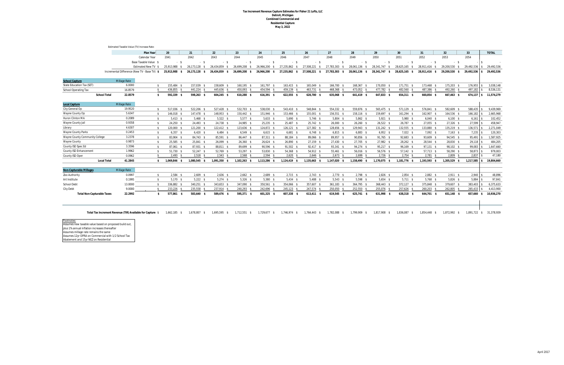#### **Tax Increment Revenue Capture Estimates for Fisher 21 Lofts, LLC Detroit, Michigan Combined Commercial and Residential Capture May 3, 2022**

<u>Footnotes:</u><br>Assumes new taxable value based on proposed build out, plus 1% annual inflation increases thereafter Assumes millage rate remains the same Assumes 12yr OPRA on Commercial with 1/2 School Tax Abatement and 15yr NEZ on Residential

|                                       |                                   | Estimated Taxable Value (TV) Increase Rate: |                                                            |              |                         |                   |                   |               |               |               |                   |                   |                   |                    |               |                   |                 |              |
|---------------------------------------|-----------------------------------|---------------------------------------------|------------------------------------------------------------|--------------|-------------------------|-------------------|-------------------|---------------|---------------|---------------|-------------------|-------------------|-------------------|--------------------|---------------|-------------------|-----------------|--------------|
|                                       |                                   |                                             | <b>Plan Year</b>                                           | 20           | 21                      | 22                | 23                | 24            | 25            | 26            | 27                | 28                | 29                | 30 <sup>°</sup>    | 31            | 32                | 33              | <b>TOTAL</b> |
|                                       |                                   |                                             | Calendar Year                                              | 2041         | 2042                    | 2043              | 2044              | 2045          | 2046          | 2047          | 2048              | 2049              | 2050              | 2051               | 2052          | 2053              | 2054            |              |
|                                       |                                   |                                             | Base Taxable Value \$                                      | $-5$         | $-5$                    | $-5$              | $-5$              | $-5$          | $-5$          | $-5$          | $-5$              | $-5$              | $-5$              | $-5$               | $-5$          | $-5$              |                 |              |
|                                       |                                   |                                             | Estimated New TV \$                                        | 25,913,988   | 26,173,128              | 26,434,859        | 26,699,208        | 26,966,200    | 27,235,862    | 27,508,221 \$ | 27,783,303        | 28,061,136<br>- S | 28,341,747        | 28,625,165<br>- \$ | 28,911,416 \$ | 29,200,530<br>- S | 29,492,536      | 29,492,536   |
|                                       |                                   |                                             | Incremental Difference (New TV - Base TV) \$               | 25,913,988   | 26,173,128<br>S.<br>-S  | 26,434,859<br>- S | 26,699,208<br>- S | 26,966,200 \$ | 27,235,862 \$ | 27,508,221 \$ | 27,783,303 \$     | 28,061,136 \$     | 28,341,747 \$     | 28,625,165 \$      | 28,911,416 \$ | 29,200,530 \$     | 29,492,536      | 29,492,536   |
|                                       |                                   |                                             |                                                            |              |                         |                   |                   |               |               |               |                   |                   |                   |                    |               |                   |                 |              |
| <b>School Capture</b>                 |                                   | <b>Millage Rate</b>                         |                                                            |              |                         |                   |                   |               |               |               |                   |                   |                   |                    |               |                   |                 |              |
| State Education Tax (SET)             |                                   | 6.0000                                      | \$                                                         | 155,484 \$   | 157,039 \$              | 158,609 \$        | 160,195 \$        | 161,797 \$    | $163,415$ \$  | 165,049 \$    | 166,700 \$        | 168,367 \$        | 170,050 \$        | $171,751$ \$       | 173,468 \$    | 175,203 \$        | 176,955         | 3,038,148    |
| <b>School Operating Tax</b>           |                                   | 16.8579                                     | - \$                                                       | 436,855 \$   | 441.224 \$              | 445,636 \$        | 450.093 \$        | 454,594 \$    | 459,139 \$    | 463,731 \$    | 468.368 \$        | 473,052 \$        | 477.782 \$        | 482,560 \$         | 487,386 \$    | 492,260 \$        | 497,182         | 8,536,131    |
|                                       | <b>School Total</b>               | 22.8579                                     | -S                                                         | 592,339 \$   | 598,263 \$              | 604,245 \$        | 610,288 \$        | 616,391 \$    | 622,555 \$    | 628,780 \$    | 635,068 \$        | 641,419 \$        | 647,833 \$        | 654,311 \$         | 660,854 \$    | 667,463 \$        | $674,137$ \$    | 11,574,279   |
| <b>Local Capture</b>                  |                                   | Millage Rate                                |                                                            |              |                         |                   |                   |               |               |               |                   |                   |                   |                    |               |                   |                 |              |
| City General Op                       |                                   | 19.9520                                     | - \$                                                       | 517,036 \$   | 522,206 \$              | 527,428 \$        | 532,703 \$        | 538,030 \$    | 543,410 \$    | 548,844 \$    | 554,332 \$        | 559,876 \$        | 565,475 \$        | 571.129 \$         | 576,841 \$    | 582,609 \$        | 588,435         | 9,439,969    |
| Wayne County Op                       |                                   | 5.6347                                      | \$                                                         | 146,018 \$   | 147,478 \$              | 148,953 \$        | 150,442 \$        | 151,946 \$    | 153,466 \$    | 155,001 \$    | 156,551 \$        | 158,116 \$        | 159,697 \$        | $161,294$ \$       | 162,907 \$    | 164,536 \$        | 166,182         | 2,665,968    |
| <b>Huron Clinton MA</b>               |                                   | 0.2089                                      | - \$                                                       | $5,413$ \$   | $5,468$ \$              | $5,522$ \$        | $5,577$ \$        | $5,633$ \$    | $5,690$ \$    | $5,746$ \$    | $5,804$ \$        | $5,862$ \$        | $5,921$ \$        | $5,980$ \$         | $6,040$ \$    | $6,100$ \$        | 6,161           | 102,452      |
| Wayne County Jail                     |                                   | 0.9358                                      | - \$                                                       | 24,250 \$    | 24,493 \$               | 24,738 \$         | 24,985 \$         | 25,235 \$     | 25,487 \$     | 25,742 \$     | $26,000$ \$       | $26,260$ \$       | $26,522$ \$       | 26,787 \$          | 27,055 \$     | $27,326$ \$       | 27,599          | 458,947      |
| Library                               |                                   | 4.6307                                      | - \$                                                       | 120,000 \$   | 121,200 \$              | 122,412 \$        | 123,636 \$        | 124,872 \$    | $126,121$ \$  | 127,382 \$    | 128,656 \$        | 129,943 \$        | 131,242 \$        | 132,555 \$         | 133,880 \$    | 135,219 \$        | 136,571         | 2,271,049    |
| <b>Wayne County Parks</b>             |                                   | 0.2453                                      | \$                                                         | $6,357$ \$   | $6,420$ \$              | $6,484$ \$        | $6,549$ \$        | $6,615$ \$    | $6,681$ \$    | $6,748$ \$    | $6,815$ \$        | $6,883$ \$        | $6,952$ \$        | $7,022$ \$         | $7,092$ \$    | $7,163$ \$        | 7,235           | 120,303      |
| <b>Wayne County Community College</b> |                                   | 3.2378                                      | $\sqrt{2}$                                                 | 83,904 \$    | 84,743 \$               | 85,591 \$         | 86,447 \$         | 87,311 \$     | 88,184 \$     | 89,066 \$     | 89,957 \$         | 90,856 \$         | 91,765 \$         | 92,683 \$          | 93,609 \$     | 94,545 \$         | 95,491          | 1,587,925    |
| <b>Wayne County</b>                   |                                   | 0.9873                                      | \$                                                         | 25,585 \$    | 25,841 \$               | 26,099 \$         | $26,360$ \$       | $26,624$ \$   | 26,890 \$     | 27,159 \$     | 27,430 \$         | 27,705 \$         | 27,982 \$         | 28,262 \$          | 28,544 \$     | 28,830 \$         | 29,118          | 484,205      |
| County ISD Spec Ed                    |                                   | 3.3596                                      | - \$                                                       | 87,061 \$    | 87,931 \$               | 88,811 \$         | 89,699 \$         | 90,596 \$     | 91,502 \$     | 92,417 \$     | 93,341 \$         | 94,274 \$         | 95,217 \$         | $96,169$ \$        | $97,131$ \$   | 98,102 \$         | 99.083          | 1,647,660    |
| <b>County ISD Enhancement</b>         |                                   | 1.9962                                      | \$                                                         | $51,730$ \$  | $52,247$ \$             | 52,769 \$         | $53,297$ \$       | 53,830 \$     | 54,368 \$     | 54,912 \$     | 55,461 \$         | 56,016 \$         | 56,576 \$         | $57,142$ \$        | $57,713$ \$   | 58,290 \$         | 58.873          | 979,003      |
| County ISD Oper                       |                                   | 0.0962                                      | -\$                                                        | $2,493$ \$   | $2,518$ \$              | $2,543$ \$        | $2,568$ \$        | $2,594$ \$    | $2,620$ \$    | $2,646$ \$    | $2,673$ \$        | $2,699$ \$        | $2,726$ \$        | $2,754$ \$         | $2,781$ \$    | $2,809$ \$        | 2,837           | 47,180       |
|                                       | <b>Local Total</b>                | 41.2845                                     | \$                                                         | 1.069.846 \$ | 1.080.545 \$            | 1,091,350 \$      | $1,102,263$ \$    | 1,113,286 \$  | 1,124,419 \$  | 1,135,663 \$  | 1,147,020 \$      | 1,158,490 \$      | 1,170,075 \$      | 1.181.776 \$       | 1,193,593 \$  | 1.205.529 \$      | 1.217.585       | 19.804.660   |
| <b>Non-Capturable Millages</b>        |                                   | <b>Millage Rate</b>                         |                                                            |              |                         |                   |                   |               |               |               |                   |                   |                   |                    |               |                   |                 |              |
| Zoo Authority                         |                                   | 0.0997                                      | \$                                                         | $2,584$ \$   | $2,609$ \$              | $2,636$ \$        | $2,662$ \$        | $2,689$ \$    | $2,715$ \$    | $2,743$ \$    | $2,770$ \$        | $2,798$ \$        | $2,826$ \$        | $2,854$ \$         | $2,882$ \$    | $2,911$ \$        | 2,940           | 48,896       |
| Art Institute                         |                                   | 0.1995                                      | \$                                                         | $5,170$ \$   | $5,222$ \$              | $5,274$ \$        | $5,326$ \$        | $5,380$ \$    | $5,434$ \$    | $5,488$ \$    | $5,543$ \$        | $5,598$ \$        | $5,654$ \$        | $5,711$ \$         | $5,768$ \$    | $5,826$ \$        | 5,884           | 97,841       |
| <b>School Debt</b>                    |                                   | 13.0000                                     | - \$                                                       | 336,882 \$   | 340,251 \$              | 343,653 \$        | 347,090 \$        | 350,561 \$    | 354,066 \$    | 357,607 \$    | $361,183$ \$      | 364,795 \$        | 368,443 \$        | 372,127 \$         | 375,848 \$    | 379,607 \$        | 383,403         | 6,375,633    |
| <b>City Debt</b>                      |                                   | 9.0000                                      |                                                            | 233,226 \$   | 235,558                 | 237,914 \$        | 240,293 \$        | 242,696 \$    | 245,123 \$    | 247,574 \$    | 250,050 \$        | 252,550 \$        | 255,076 \$        | 257,626 \$         | 260,203 \$    | 262,805 \$        | 265,433         | 4,413,900    |
|                                       | <b>Total Non-Capturable Taxes</b> | 22.2992                                     | -Ŝ                                                         | 577,861      | 583,640<br>- \$<br>- \$ | 589,476<br>- 55   | 595,371 \$        | 601,325 \$    | 607,338 \$    | $613,411$ \$  | 619,545 \$        | 625,741 \$        | 631,998 \$        | 638,318 \$         | 644,701 \$    | 651.148           | 657,660<br>- \$ | 10,936,270   |
|                                       |                                   |                                             |                                                            |              |                         |                   |                   |               |               |               |                   |                   |                   |                    |               |                   |                 |              |
|                                       |                                   |                                             | Total Tax Increment Revenue (TIR) Available for Capture \$ | 1,662,185 \$ | 1.678.807 \$            | 1,695,595 \$      | $1.712.551$ \$    | 1.729.677 \$  | 1.746.974 \$  | 1.764.443 \$  | 1.782.088<br>- \$ | 1.799.909 \$      | 1.817.908<br>- \$ | 1.836.087<br>-S    | 1.854.448 \$  | 1.872.992 \$      | 1.891.722 \$    | 31.378.939   |

| <b>Non-capturable numages</b>     | <b>THIRT RAIL</b> |         |         |            |            |            |            |            |            |         |            |            |
|-----------------------------------|-------------------|---------|---------|------------|------------|------------|------------|------------|------------|---------|------------|------------|
| Zoo Authority                     | 0.0997            | 2,584   | 2,609   | 2,636 \$   | 2,662      | 2,689      | 2,715      | $2,743$ \$ | 2.770      | 2.798   | 2,826      | 2,854      |
| Art Institute                     | 0.1995            | 5.170   | 5.222   | จ์,274     | 5,326      | 5,380 \$   | 5,434      | 5,488      | 5,543      | 5.598   | 5,654      | 5,711      |
| <b>School Debt</b>                | 13.0000           | 336.882 | 340.251 | 343.653 \$ | 347.090    | 350.561 \$ | 354.066 \$ | 357.607    | 361,183    | 364,795 | 368,443 \$ | 372,127    |
| City Debt                         | 9.0000            | 233,226 | 235,558 | 237,914    | 240,293    | 242,696    | 245,123    | 247,574    | 250,050    | 252,550 | 255,076    | 257,626 \$ |
| <b>Total Non-Capturable Taxes</b> | 22.2992           | 577.861 | 583.640 | 589.476 \$ | 595.371 \$ | 601.325    | 607.338    | 613.411    | 619.545 \$ | 625,741 | 631.998 \$ | 638,318    |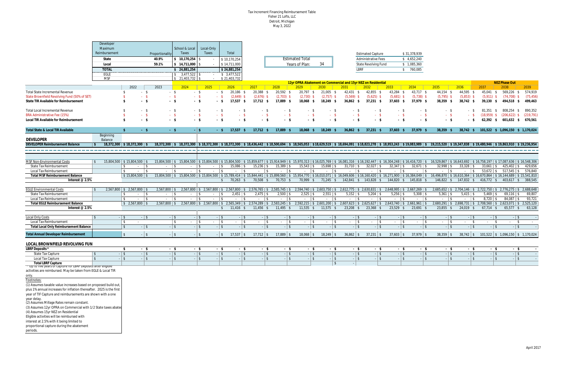#### Tax Increment Financing Reimbursement Table Fisher 21 Lofts, LLC Detroit, Michigan May 3, 2022

|                                                                                                               | Developer<br>Maximum<br>Reimbursement<br>State<br>Local<br><b>TOTAL</b><br><b>EGLE</b><br><b>MSF</b> |                                        | Proportionality<br>40.9%<br>59.1% | School & Local<br>Taxes<br>\$10,170,254<br>\$14,711,000<br>\$24,881,254<br>$\frac{1}{2}$ 3,477,522<br>$$21.403.732$ \ \ \$ | Local-Only<br>Taxes<br>$\sim$<br>$\sim$                   | Total<br>\$10,170,254<br>\$14,711,000<br>\$24,881,254<br>\$3,477,522<br>\$21,403,732 |                                                                                                                                                                                                                                            |                                               | <b>Estimated Total</b><br>Years of Plan: | 34                   |                                                               | <b>Estimated Capture</b><br><b>Administrative Fees</b><br><b>State Revolving Fund</b><br><b>LBRF</b> |                             | \$31,378,939<br>\$4,652,240<br>\$1,085,360<br>\$ 760,085 |                                                                                      |                          |              |                                      |                                                                                   |
|---------------------------------------------------------------------------------------------------------------|------------------------------------------------------------------------------------------------------|----------------------------------------|-----------------------------------|----------------------------------------------------------------------------------------------------------------------------|-----------------------------------------------------------|--------------------------------------------------------------------------------------|--------------------------------------------------------------------------------------------------------------------------------------------------------------------------------------------------------------------------------------------|-----------------------------------------------|------------------------------------------|----------------------|---------------------------------------------------------------|------------------------------------------------------------------------------------------------------|-----------------------------|----------------------------------------------------------|--------------------------------------------------------------------------------------|--------------------------|--------------|--------------------------------------|-----------------------------------------------------------------------------------|
|                                                                                                               |                                                                                                      |                                        |                                   |                                                                                                                            |                                                           |                                                                                      |                                                                                                                                                                                                                                            |                                               |                                          |                      | 12yr OPRA Abatement on Commercial and 15yr NEZ on Residential |                                                                                                      |                             |                                                          |                                                                                      |                          |              | <b>NEZ Phase Out</b>                 |                                                                                   |
|                                                                                                               |                                                                                                      | 2022                                   | 2023                              | 2024                                                                                                                       | 2025                                                      | 2026                                                                                 | 2027                                                                                                                                                                                                                                       | 2028                                          | 2029                                     | 2030                 | 2031                                                          | 2032                                                                                                 | 2033                        | 2034                                                     | 2035                                                                                 | 2036                     | 2037         | 2038                                 | 2039                                                                              |
| <b>Total State Incremental Revenue</b>                                                                        |                                                                                                      | - \$                                   | - \$                              | $-$ \$                                                                                                                     | $-5$                                                      | 20,186 \$                                                                            | 20,388<br>- S                                                                                                                                                                                                                              | 20,592 \$                                     | 20,797 \$                                | $21,005$ \$          | 42,431 \$                                                     | 42,855 \$                                                                                            | 43,284 \$                   | 43,717 \$                                                | 44,154 \$                                                                            | 44,595 \$                | 45,041 \$    | 569,226 \$                           | 574,919                                                                           |
| State Brownfield Revolving Fund (50% of SET)                                                                  |                                                                                                      | $-5$                                   | $-5$                              | $-$ \$                                                                                                                     | $-5$                                                      | $(2,649)$ \$                                                                         | $(2,676)$ \$                                                                                                                                                                                                                               | $(2,703)$ \$                                  | (2,730)                                  | $(2,757)$ \$         | $(5,569)$ \$                                                  | $(5,625)$ \$                                                                                         | $(5,681)$ \$                | $(5,738)$ \$                                             | $(5,795)$ \$                                                                         | $(5,853)$ \$             | $(5,911)$ \$ | (74, 708)                            | (75, 456)                                                                         |
| State TIR Available for Reimbursement                                                                         |                                                                                                      | \$<br>$-5$                             | $-5$                              | $-5$                                                                                                                       | - \$                                                      | 17,537                                                                               | $17,712$ \$                                                                                                                                                                                                                                | 17,889<br><b>S</b>                            | 18,068                                   | 18,249               | 36,862<br>- \$                                                | $37,231$ \$                                                                                          | 37,603<br>- \$              | 37,979                                                   | 38,359                                                                               | 38,742                   | 39.130       | 494,518<br>- \$                      | 499,463                                                                           |
|                                                                                                               |                                                                                                      |                                        |                                   |                                                                                                                            |                                                           |                                                                                      |                                                                                                                                                                                                                                            |                                               |                                          |                      |                                                               |                                                                                                      |                             |                                                          |                                                                                      |                          |              |                                      |                                                                                   |
| <b>Total Local Incremental Revenue</b><br><b>BRA Administrative Fee (15%)</b>                                 |                                                                                                      | - \$<br>$-5$                           | - \$<br>$-$ \$                    | - \$<br>$-$ \$                                                                                                             | - \$<br>$-5$                                              |                                                                                      | - \$<br>$-5$                                                                                                                                                                                                                               | - \$<br>$-5$                                  |                                          | - \$<br>$-5$         | - \$<br>$-5$                                                  | $-5$                                                                                                 | $-$ \$                      | - \$<br>$-5$                                             | - \$                                                                                 | - \$                     | (18.959) \$  | 81,351 \$ 808,254 \$                 | 890,352<br>(219, 791)                                                             |
| Local TIR Available for Reimbursement                                                                         |                                                                                                      | $-5$<br>\$                             | $-5$                              | $-5$                                                                                                                       | $-5$                                                      | $-5$                                                                                 | - \$                                                                                                                                                                                                                                       | $-5$                                          | - \$                                     | $-5$                 | $-5$                                                          | - \$                                                                                                 | - \$                        | $-$ \$                                                   | $-$ \$<br>- \$                                                                       | - \$                     |              | $(206, 622)$ \$<br>62,392 \$ 601,632 | 670,561<br>- \$                                                                   |
|                                                                                                               |                                                                                                      |                                        |                                   |                                                                                                                            |                                                           |                                                                                      |                                                                                                                                                                                                                                            |                                               |                                          |                      |                                                               |                                                                                                      |                             |                                                          |                                                                                      |                          |              |                                      |                                                                                   |
| Total State & Local TIR Available                                                                             |                                                                                                      | $-5$                                   | $-$ \$                            | $-1$ \$                                                                                                                    | $-5$                                                      | $17,537$ \$                                                                          | $17,712$ \$                                                                                                                                                                                                                                | 17,889 \$                                     | $18,068$ \$                              | $18,249$ \$          | $36,862$ \$                                                   | $37,231$ \$                                                                                          | $37,603$ \$                 | 37,979 \$                                                | $38,359$ \$                                                                          |                          |              |                                      | 38,742 \$ 101,522 \$ 1,096,150 \$ 1,170,024                                       |
|                                                                                                               | Beginning                                                                                            |                                        |                                   |                                                                                                                            |                                                           |                                                                                      |                                                                                                                                                                                                                                            |                                               |                                          |                      |                                                               |                                                                                                      |                             |                                                          |                                                                                      |                          |              |                                      |                                                                                   |
| <b>DEVELOPER</b>                                                                                              | Balance                                                                                              |                                        |                                   |                                                                                                                            |                                                           |                                                                                      |                                                                                                                                                                                                                                            |                                               |                                          |                      |                                                               |                                                                                                      |                             |                                                          |                                                                                      |                          |              |                                      |                                                                                   |
| <b>DEVELOPER Reimbursement Balance</b>                                                                        |                                                                                                      | 18.372.300   \$18.372.300              |                                   |                                                                                                                            |                                                           |                                                                                      | 18,372,300 \$ 18,372,300 \$ 18,372,300 \$ 18,372,300 \$ 18,372,300 \$ 18,436,442 \$ 18,500,694 \$ 18,655,053 \$ 18,629,519 \$ 18,694,091 \$ 18,823,278 \$ 18,953,243 \$ 19,083,989 \$                                                      |                                               |                                          |                      |                                                               |                                                                                                      |                             |                                                          | 19,215,520   \$19,347,838   \$19,480,946   \$19,863,910   \$19,236,954               |                          |              |                                      |                                                                                   |
|                                                                                                               |                                                                                                      |                                        |                                   |                                                                                                                            |                                                           |                                                                                      |                                                                                                                                                                                                                                            |                                               |                                          |                      |                                                               |                                                                                                      |                             |                                                          |                                                                                      |                          |              |                                      |                                                                                   |
|                                                                                                               |                                                                                                      |                                        |                                   |                                                                                                                            |                                                           |                                                                                      |                                                                                                                                                                                                                                            |                                               |                                          |                      |                                                               |                                                                                                      |                             |                                                          |                                                                                      |                          |              |                                      |                                                                                   |
| <b>MSF Non-Environmental Costs</b>                                                                            | \$                                                                                                   | 15,804,500 \$15,804,500 \$             |                                   |                                                                                                                            |                                                           |                                                                                      | 15,804,500 \$ 15,804,500 \$ 15,804,500 \$ 15,804,500 \$ 15,859,677 \$ 15,914,949 \$ 15,970,313 \$ 16,025,769 \$ 16,081,316 \$ 16,192,447 \$ 16,304,248 \$ 16,416,720 \$ 16,529,867 \$ 16,643,692 \$ 16,758,197 \$ 17,087,636 \$ 16,548,306 |                                               |                                          |                      |                                                               |                                                                                                      |                             |                                                          |                                                                                      |                          |              |                                      |                                                                                   |
| <b>State Tax Reimbursement</b>                                                                                |                                                                                                      | $\frac{1}{3}$<br>$\sim$                | $\blacksquare$<br>$\sim$          | $\sim 100$                                                                                                                 |                                                           | 15,086                                                                               | $15,236$ \$                                                                                                                                                                                                                                | $15,389$ \$                                   | $15,543$ \$                              | $15,698$ \$          | $31,710$ \ \$                                                 | 32,027                                                                                               |                             | $32,671$ \$                                              | 32,998                                                                               | $33,328$ \$              | $33,661$ \$  | $425,402$ \$                         | 429,656                                                                           |
| <b>Local Tax Reimbursement</b>                                                                                |                                                                                                      | \$<br>$ \vert$ \$                      | $ \sqrt{5}$                       | $ \frac{1}{3}$                                                                                                             | l S<br>$\sim$                                             | $\sim$                                                                               | ∣\$<br>$ \sqrt{S}$                                                                                                                                                                                                                         | l S<br>$\sim$ $-$                             |                                          | l \$<br>$\sim$       | l \$<br>$\sim$                                                | $\sim$                                                                                               | l \$                        | $ \frac{1}{3}$                                           |                                                                                      | $\parallel$ \$<br>$\sim$ | $53,672$ \$  | 517,545 $\frac{1}{2}$                | 576,840                                                                           |
| <b>Total MSF Reimbursement Balance</b>                                                                        |                                                                                                      | $$15,804,500$ \ \$                     |                                   |                                                                                                                            |                                                           |                                                                                      | 15,804,500 \$ 15,804,500 \$ 15,804,500 \$ 15,789,414 \$ 15,844,441 \$ 15,899,560 \$ 15,954,770 \$ 16,010,071 \$ 16,049,606 \$ 16,160,420 \$ 16,271,900 \$ 16,284,049 \$                                                                    |                                               |                                          |                      |                                                               |                                                                                                      |                             |                                                          | $16,496,870$   \$ $16,610,364$   \$ $16,670,864$   \$ $16,144,689$   \$ $15,541,810$ |                          |              |                                      |                                                                                   |
| Interest $@2.5%$                                                                                              |                                                                                                      |                                        |                                   |                                                                                                                            |                                                           | $$70,263$ \$                                                                         | 70,508 \$                                                                                                                                                                                                                                  | 70,753 \$                                     |                                          | 70,999 \$ 71,245 \$  |                                                               | 142,841 \$ 143,828 \$                                                                                |                             | 144,820 \$ 145,818 \$                                    |                                                                                      |                          |              |                                      | 146,822 \$ 147,832 \$ 416,772 \$ 403,617 \$ 388,545                               |
|                                                                                                               |                                                                                                      |                                        |                                   |                                                                                                                            |                                                           |                                                                                      |                                                                                                                                                                                                                                            |                                               |                                          |                      |                                                               |                                                                                                      |                             |                                                          |                                                                                      |                          |              |                                      |                                                                                   |
| <b>EGLE Environmental Costs</b>                                                                               | \$                                                                                                   | $2,567,800$ \$ 2,567,800 \$            | $2,567,800$ \$                    |                                                                                                                            | $2,567,800$ \$ 2,567,800 \$ 2,567,800 \$                  |                                                                                      |                                                                                                                                                                                                                                            | $2,576,765$ \$ $2,585,745$ \$                 |                                          |                      | $2,594,740$ \$ 2,603,750 \$ 2,612,775 \$ 2,630,831 \$         |                                                                                                      |                             | $2,648,995$ \$ 2,667,269 \$                              |                                                                                      |                          |              |                                      | $2,685,652$ \$ 2,704,146 \$ 2,722,750 \$ 2,776,275 \$ 2,688,648                   |
| <b>State Tax Reimbursement</b>                                                                                |                                                                                                      | Ŝ.<br>$ \sqrt{3}$                      | $\sim$ 8                          | $\sim$ 100 $\mu$                                                                                                           | $\sim$                                                    | 2,451                                                                                | $2,475$ \$<br>$\ddot{\bm{x}}$                                                                                                                                                                                                              | $2,500$ \$                                    | 2,525                                    | $2,551$ \$           | $5,152$ \$                                                    | 5,204                                                                                                | $5,256$ \$<br>∣\$           | $5,308$ \$                                               | 5,361                                                                                | $5,415$ \$               | $5,469$ \$   | $69,116$ \$                          | 69,807                                                                            |
| Local Tax Reimbursement<br><b>Total EGLE Reimbursement Balance</b>                                            |                                                                                                      | $ \sqrt{3}$<br>\$<br>$$2,567,800$ \ \$ | $\blacksquare$<br>$2.567.800$ \$  | $ \vert$ \$                                                                                                                | ∣\$<br>$\sim$<br>$2,567,800$ \$ 2,567,800 \$ 2,565,349 \$ |                                                                                      | $\blacksquare$<br>$\sim$                                                                                                                                                                                                                   | l \$<br>$\sim$<br>$2,574,289$ \$ 2,583,245 \$ | $2,592,215$ \$ 2,601,200 \$              | $\vert$ \$<br>$\sim$ | l \$<br>$\sim$                                                | $2,607,623$ \$ 2,625,627 \$                                                                          |                             | $ \vert$ \$<br>$2,643,740$ \$ 2,661,961 \$               | l \$                                                                                 | $\parallel$ \$<br>$\sim$ | $8,720$ \$   | $84,087$ \$                          | 93,721<br>$2,680,291$ \$ $2,698,731$ \$ $2,708,560$ \$ $2,623,071$ \$ $2,525,120$ |
| Interest $@2.5%$                                                                                              |                                                                                                      |                                        |                                   |                                                                                                                            |                                                           | $$11,416$ \$                                                                         | $11,456$ \$                                                                                                                                                                                                                                | $11,495$ \$                                   | $11,535$ \$                              | $11,575$ \$          | 23,208 \$                                                     | 23,368 \$                                                                                            | $23,529$ \$                 | $23,691$ \$                                              | $23,855$ \$                                                                          | 24,019 \$                | $67,714$ \$  | $65,577$ \$                          | 63,128                                                                            |
|                                                                                                               |                                                                                                      |                                        |                                   |                                                                                                                            |                                                           |                                                                                      |                                                                                                                                                                                                                                            |                                               |                                          |                      |                                                               |                                                                                                      |                             |                                                          |                                                                                      |                          |              |                                      |                                                                                   |
| <b>Local Only Costs</b>                                                                                       | $\mathfrak{s}$                                                                                       | $-1$ \$<br>$-1$ \$                     | $-1$ \$                           | $-15$                                                                                                                      | $-1$ \$                                                   |                                                                                      | $-1$ \$<br>$-1$ \$                                                                                                                                                                                                                         | $-1$ \$                                       | $-1$ \$                                  | $-1$ \$              | $-1$ \$                                                       | $-1$ \$                                                                                              | $-15$                       | $-15$                                                    | $-1$ \$                                                                              | $-13$                    | $-1$ \$      |                                      | $-15$                                                                             |
| Local Tax Reimbursement                                                                                       |                                                                                                      | <b>S</b><br>$\sim$                     | $\vert$ \$                        | $ \vert$ \$                                                                                                                | $ \sqrt{5}$                                               | $-$   \$                                                                             | $ \sqrt{5}$                                                                                                                                                                                                                                | $ \sqrt{5}$                                   | $ \vert$ \$                              | $ \vert$ \$          | $ \frac{1}{3}$                                                | $ \vert$ \$                                                                                          | $\frac{1}{3}$<br>$\sim 100$ | $ \sqrt{S}$                                              | $ \sqrt{5}$                                                                          | $-$ \$                   | $-$ \$       | $-5$                                 |                                                                                   |
| <b>Total Local Only Reimbursement Balance</b>                                                                 |                                                                                                      | $\mathcal{L}$<br>$-$   \$              | $-$ \$                            | $-15$                                                                                                                      | $-$ \$                                                    |                                                                                      | $-$ \$<br>$-$ \$                                                                                                                                                                                                                           | $-$ \$                                        | $-$   \$                                 | $-1$ \$              | $-$ \$                                                        | $-1$ \$                                                                                              | $-$ \$                      | $-$ \$                                                   | $-$ \$                                                                               | $-1$ \$                  | $-$ \$       |                                      | $-$   \$                                                                          |
| <b>Total Annual Developer Reimbursement</b>                                                                   |                                                                                                      | $-$ \$                                 | $-1$ \$                           | $-13$                                                                                                                      | $-15$                                                     | $17,537$ \$                                                                          | $17,712$ \$                                                                                                                                                                                                                                | $17,889$ \$                                   | $18,068$ \$                              | $18,249$ \$          | $36,862$ \$                                                   | $37,231$ \$                                                                                          | $37,603$ \$                 | $37,979$ \$                                              | $38,359$ \$                                                                          | $38,742$ \$              |              |                                      | $101,522$ \$ $1,096,150$ \$ $1,170,024$                                           |
|                                                                                                               |                                                                                                      |                                        |                                   |                                                                                                                            |                                                           |                                                                                      |                                                                                                                                                                                                                                            |                                               |                                          |                      |                                                               |                                                                                                      |                             |                                                          |                                                                                      |                          |              |                                      |                                                                                   |
| LOCAL BROWNFIELD REVOLVING FUN                                                                                |                                                                                                      |                                        |                                   |                                                                                                                            |                                                           |                                                                                      |                                                                                                                                                                                                                                            |                                               |                                          |                      |                                                               |                                                                                                      |                             |                                                          |                                                                                      |                          |              |                                      |                                                                                   |
| <b>LBRF Deposits</b>                                                                                          |                                                                                                      | - \$                                   | - \$                              | $-$ \$                                                                                                                     | - \$                                                      |                                                                                      | - \$<br>- \$                                                                                                                                                                                                                               | - \$                                          | - \$                                     | - \$                 | - \$                                                          | - \$                                                                                                 | - \$                        | - \$                                                     | - \$                                                                                 | - \$                     | - \$         |                                      | - \$                                                                              |
| <b>State Tax Capture</b>                                                                                      | \$                                                                                                   | $-$   \$<br>$-1$ \$                    | $-1$ \$                           | $-1$ \$                                                                                                                    | $-1$ \$                                                   |                                                                                      | $-1$ \$<br>$-1$ \$                                                                                                                                                                                                                         | $-$   \$                                      | $-1$ \$                                  | $-1$ \$              | $-$ \$                                                        | $-1$ \$                                                                                              | $-$ \$                      | $-$ \$                                                   | $-1$ \$                                                                              | $-1$ \$                  | $-$   \$     |                                      | $-$ \$                                                                            |
| <b>Local Tax Capture</b>                                                                                      | $\mathfrak{s}$                                                                                       | $-$ \$<br>$-1$ \$                      | $-1$ \$                           | $-$ \$                                                                                                                     | $-$ \$                                                    |                                                                                      | $-$ \$<br>$-$ \$                                                                                                                                                                                                                           | $-$ \$                                        | $-$ \$                                   | $-1$ \$              | $-$ \$                                                        | $-1$ \$                                                                                              | $-$ \$                      | $-$ \$                                                   | $-$ \$                                                                               | $-1$ \$                  | $-$ \$       |                                      | $-$ \$                                                                            |
| <b>Total LBRF Capture</b><br>Op to live years of capture for LBRF Deposits after engible                      |                                                                                                      |                                        |                                   |                                                                                                                            |                                                           |                                                                                      |                                                                                                                                                                                                                                            |                                               |                                          |                      | $\mathfrak{s}$                                                |                                                                                                      |                             |                                                          |                                                                                      |                          |              |                                      |                                                                                   |
| activities are reimbursed. May be taken from EGLE & Local TIR                                                 |                                                                                                      |                                        |                                   |                                                                                                                            |                                                           |                                                                                      |                                                                                                                                                                                                                                            |                                               |                                          |                      |                                                               |                                                                                                      |                             |                                                          |                                                                                      |                          |              |                                      |                                                                                   |
| only.                                                                                                         |                                                                                                      |                                        |                                   |                                                                                                                            |                                                           |                                                                                      |                                                                                                                                                                                                                                            |                                               |                                          |                      |                                                               |                                                                                                      |                             |                                                          |                                                                                      |                          |              |                                      |                                                                                   |
| Footnotes:                                                                                                    |                                                                                                      |                                        |                                   |                                                                                                                            |                                                           |                                                                                      |                                                                                                                                                                                                                                            |                                               |                                          |                      |                                                               |                                                                                                      |                             |                                                          |                                                                                      |                          |              |                                      |                                                                                   |
| (1) Assumes taxable value increases based on proposed build out                                               |                                                                                                      |                                        |                                   |                                                                                                                            |                                                           |                                                                                      |                                                                                                                                                                                                                                            |                                               |                                          |                      |                                                               |                                                                                                      |                             |                                                          |                                                                                      |                          |              |                                      |                                                                                   |
| plus 1% annual increases for inflation thereafter. 2025 is the first                                          |                                                                                                      |                                        |                                   |                                                                                                                            |                                                           |                                                                                      |                                                                                                                                                                                                                                            |                                               |                                          |                      |                                                               |                                                                                                      |                             |                                                          |                                                                                      |                          |              |                                      |                                                                                   |
| year of TIF Capture and reimbursements are shown with a one                                                   |                                                                                                      |                                        |                                   |                                                                                                                            |                                                           |                                                                                      |                                                                                                                                                                                                                                            |                                               |                                          |                      |                                                               |                                                                                                      |                             |                                                          |                                                                                      |                          |              |                                      |                                                                                   |
| year delay.                                                                                                   |                                                                                                      |                                        |                                   |                                                                                                                            |                                                           |                                                                                      |                                                                                                                                                                                                                                            |                                               |                                          |                      |                                                               |                                                                                                      |                             |                                                          |                                                                                      |                          |              |                                      |                                                                                   |
| (2) Assumes Millage Rates remain constant.<br>(3) Assumes 12yr OPRA on Commercial with 1/2 State taxes abated |                                                                                                      |                                        |                                   |                                                                                                                            |                                                           |                                                                                      |                                                                                                                                                                                                                                            |                                               |                                          |                      |                                                               |                                                                                                      |                             |                                                          |                                                                                      |                          |              |                                      |                                                                                   |
| (4) Assumes 15yr NEZ on Residential                                                                           |                                                                                                      |                                        |                                   |                                                                                                                            |                                                           |                                                                                      |                                                                                                                                                                                                                                            |                                               |                                          |                      |                                                               |                                                                                                      |                             |                                                          |                                                                                      |                          |              |                                      |                                                                                   |
| Eligible activities will be reimbursed with                                                                   |                                                                                                      |                                        |                                   |                                                                                                                            |                                                           |                                                                                      |                                                                                                                                                                                                                                            |                                               |                                          |                      |                                                               |                                                                                                      |                             |                                                          |                                                                                      |                          |              |                                      |                                                                                   |
| interest at 2.5% with it being limited to                                                                     |                                                                                                      |                                        |                                   |                                                                                                                            |                                                           |                                                                                      |                                                                                                                                                                                                                                            |                                               |                                          |                      |                                                               |                                                                                                      |                             |                                                          |                                                                                      |                          |              |                                      |                                                                                   |
| proportional capture during the abatement                                                                     |                                                                                                      |                                        |                                   |                                                                                                                            |                                                           |                                                                                      |                                                                                                                                                                                                                                            |                                               |                                          |                      |                                                               |                                                                                                      |                             |                                                          |                                                                                      |                          |              |                                      |                                                                                   |
| periods.                                                                                                      |                                                                                                      |                                        |                                   |                                                                                                                            |                                                           |                                                                                      |                                                                                                                                                                                                                                            |                                               |                                          |                      |                                                               |                                                                                                      |                             |                                                          |                                                                                      |                          |              |                                      |                                                                                   |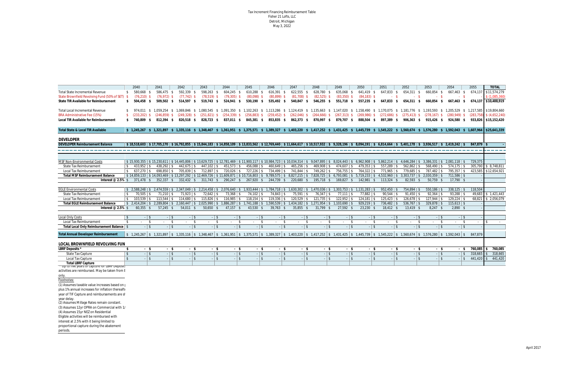Tax Increment Financing Reimbursement Table Fisher 21 Lofts, LLC Detroit, Michigan May 3, 2022

|                                                                               |                | 2040            |                               | 2041                     |               | 2042                          |         | 2043                     | 2044                    |               | 2045                      |      | 2046                     | 2047          |                 | 2048                                                                                                                                                                                                              | 2049           |                | 2050                        | 2051           |                 | 2052                                                                                                                                                                                                                                      | 2053           |                        | 2054           | 2055    |                | <b>TOTAL</b>                 |
|-------------------------------------------------------------------------------|----------------|-----------------|-------------------------------|--------------------------|---------------|-------------------------------|---------|--------------------------|-------------------------|---------------|---------------------------|------|--------------------------|---------------|-----------------|-------------------------------------------------------------------------------------------------------------------------------------------------------------------------------------------------------------------|----------------|----------------|-----------------------------|----------------|-----------------|-------------------------------------------------------------------------------------------------------------------------------------------------------------------------------------------------------------------------------------------|----------------|------------------------|----------------|---------|----------------|------------------------------|
| <b>Total State Incremental Revenue</b>                                        | -S             | 580,668 \$      |                               | 586,475 \$               |               | 592,339 \$                    |         | 598,263 \$               | 604.245 \$              |               | 610,288 \$                |      | $616,391$ \$             | $622,555$ \$  |                 | 628,780 \$                                                                                                                                                                                                        | 635,068 \$     |                | 641,419 \$                  | 647,833 \$     |                 | 654,311 \$                                                                                                                                                                                                                                | 660,854 \$     |                        | 667,463 \$     |         | 674,137        | \$11,574,279                 |
| State Brownfield Revolving Fund (50% of SET) \$                               |                | $(76,210)$ \$   |                               | $(76, 972)$ \$           |               | $(77, 742)$ \$                |         | $(78,519)$ \$            | $(79,305)$ \$           |               | $(80,098)$ \$             |      | $(80, 899)$ \$           | $(81,708)$ \$ |                 | $(82,525)$ \$                                                                                                                                                                                                     | $(83,350)$ \$  |                | $(84, 183)$ \$              |                | $-5$            | $-$ \$                                                                                                                                                                                                                                    |                | $-$ \$                 | $-S$           |         |                | \$(1,085,360)                |
| State TIR Available for Reimbursement                                         |                | $$504,458$ \$   |                               | 509,502 \$               |               | 514,597 \$                    |         | 519,743 \$               | 524,941 \$              |               | 530,190 \$                |      | 535,492 \$               | 540,847 \$    |                 | 546,255 \$                                                                                                                                                                                                        | 551,718 \$     |                | 557,235 \$                  | 647,833 \$     |                 | 654,311 \$                                                                                                                                                                                                                                | 660.854        | - \$                   | 667,463 \$     |         |                | 674,137 \$10,488,919         |
| <b>Total Local Incremental Revenue</b>                                        |                |                 |                               |                          |               |                               |         |                          |                         |               |                           |      |                          |               |                 |                                                                                                                                                                                                                   |                |                |                             |                |                 | \$ 974.011 \$ 1.059.254 \$ 1.069.846 \$ 1.080.545 \$ 1.091.350 \$ 1.102.263 \$ 1.113.286 \$ 1.124.419 \$ 1.135.663 \$ 1.147.020 \$ 1.158.490 \$ 1.170.075 \$ 1.181.776 \$ 1.193.593 \$ 1.205.529 \$ 1.217.585 \$19.804.660                |                |                        |                |         |                |                              |
| <b>BRA Administrative Fee (15%)</b>                                           |                | $(233, 202)$ \$ |                               |                          |               | $(246,859)$ \$ $(249,328)$ \$ |         |                          |                         |               |                           |      |                          |               |                 | (251,821) \$ (254,339) \$ (256,883) \$ (259,452) \$ (262,046) \$ (264,666) \$ (267,313) \$ (269,986) \$ (272,686) \$                                                                                              |                |                |                             |                |                 | $(275, 413)$ \$ $(278, 167)$ \$                                                                                                                                                                                                           |                |                        | $(280.949)$ \$ |         |                | $(283,758)$ \$ $(4,652,240)$ |
| Local TIR Available for Reimbursement                                         |                |                 |                               | \$ 740,809 \$ 812,394 \$ |               | 820,518 \$                    |         |                          | 828,723 \$ 837,011 \$   |               |                           |      |                          |               |                 | 845,381 \$ 853,835 \$ 862,373 \$ 870,997 \$ 879,707 \$ 888,504 \$                                                                                                                                                 |                |                |                             | 897,389 \$     |                 | 906,363 \$ 915,426 \$                                                                                                                                                                                                                     |                |                        | 924,580 \$     |         |                | 933,826 \$15,152,420         |
| <b>Total State &amp; Local TIR Available</b>                                  |                |                 |                               |                          |               |                               |         |                          |                         |               |                           |      |                          |               |                 |                                                                                                                                                                                                                   |                |                |                             |                |                 | \$ 1,245,267 \$ 1,321,897 \$ 1,335,116 \$ 1,348,467 \$ 1,361,951 \$ 1,375,571 \$ 1,389,327 \$ 1,403,220 \$ 1,417,252 \$ 1,431,425 \$ 1,445,739 \$ 1,545,222 \$ 1,560,674 \$ 1,576,280 \$ 1,576,280 \$ 1,592,043 \$ 1,607,964 \$25,641,339 |                |                        |                |         |                |                              |
| <b>DEVELOPER</b>                                                              |                |                 |                               |                          |               |                               |         |                          |                         |               |                           |      |                          |               |                 |                                                                                                                                                                                                                   |                |                |                             |                |                 |                                                                                                                                                                                                                                           |                |                        |                |         |                |                              |
| <b>DEVELOPER Reimbursement Balance</b>                                        |                |                 |                               |                          |               |                               |         |                          |                         |               |                           |      |                          |               |                 |                                                                                                                                                                                                                   |                |                |                             |                |                 | $$18,518,603$$ $$5,407,705,170$$ $$5,6792,855$$ $$15,844,183$$ $$14,858,109$$ $$13,833,562$$ $$12,769,440$$ $$17,664,617$$ $$10,517,932$$ $$9,328,196$$ $$8,094,191$$ $$6,814,664$$ $$5,401,178$$ $$3,936,517$$ $$2,419,242$$             |                |                        |                |         | $847.879$ \ \$ |                              |
|                                                                               |                |                 |                               |                          |               |                               |         |                          |                         |               |                           |      |                          |               |                 |                                                                                                                                                                                                                   |                |                |                             |                |                 |                                                                                                                                                                                                                                           |                |                        |                |         |                |                              |
|                                                                               |                |                 |                               |                          |               |                               |         |                          |                         |               |                           |      |                          |               |                 |                                                                                                                                                                                                                   |                |                |                             |                |                 |                                                                                                                                                                                                                                           |                |                        |                |         |                |                              |
| <b>MSF Non-Environmental Costs</b>                                            |                |                 |                               |                          |               |                               |         |                          |                         |               |                           |      |                          |               |                 |                                                                                                                                                                                                                   |                |                |                             |                |                 | \$ 15,230,611 \$ 14,445,806 \$ 13,629,725 \$ 12,781,469 \$ 11,900,117 \$ 10,984,723 \$ 10,034,314 \$ 9,047,895 \$ 8,024,443 \$ 6,962,908 \$ 5,862,214 \$ 4,646,284 \$ 3,386,331 \$ 2,081,118 \$                                           |                |                        |                | 729,375 |                |                              |
| <b>State Tax Reimbursement</b>                                                | <b>S</b>       | $433.952$ S     |                               | $438,292$ \$             |               | $442,675$ \$                  |         | 447,102 \$               | $451,573$ \$            |               | $456,088$ $\frac{8}{3}$   |      | $460,649$ \$             | $465,256$ \$  |                 | $469,908$ \$                                                                                                                                                                                                      | $474,607$ \ \$ |                | $479,353$ \$                | $557,289$ \$   |                 | $562,862$ \$                                                                                                                                                                                                                              | $568,490$ \$   |                        | $574,175$ \ \$ |         | 305,790        | \$8,748,811                  |
| <b>Local Tax Reimbursement</b>                                                | ∣\$.           | $637,270$ \ \$  |                               | $698,850$ \$             |               | 705,839 \$                    |         | $712,897$ \ \$           | 720,026 \$              |               | 727,226 \$                |      | 734,499 \$               | 741,844 \$    |                 | 749,262 \$                                                                                                                                                                                                        | 756,755 \$     |                | 764,322 \$                  | 771,965 \$     |                 | 779,685 \$                                                                                                                                                                                                                                | 787,482 \$     |                        | $795,357$ \$   |         | 423,585        | \$12,654,921                 |
| <b>Total MSF Reimbursement Balance</b>                                        |                |                 |                               |                          |               |                               |         |                          |                         |               |                           |      |                          |               |                 |                                                                                                                                                                                                                   |                |                |                             |                |                 | $$14,859,133$ $$14,093,469$ $$13,297,292$ $$12,469,726$ $$11,609,871$ $$10,716,803$ $$9,789,575$ $$8,827,215$ $$8,827,215$ $$7,828,725$ $$6,793,081$ $$5,719,233$ $$4,532,960$ $$3,303,737$ $$6,793,087$ $$7,793,087$ $$8,793$            | $2,030,359$ \$ |                        | $711,586$ \ \$ |         |                |                              |
|                                                                               |                |                 |                               |                          |               |                               |         | $311.743$ \$             |                         |               |                           |      |                          | 220.680 \$    |                 |                                                                                                                                                                                                                   |                |                |                             |                |                 |                                                                                                                                                                                                                                           |                |                        |                |         |                |                              |
| Interest @ 2.5% $$371,478$ \$                                                 |                |                 |                               | $352,337$ \$             |               | 332,432 \$                    |         |                          | 290,247 \$              |               | 267,920 \$                |      | 244,739 \$               |               |                 | 195,718 \$                                                                                                                                                                                                        | 169,827 \$     |                | $142,981$ \$                | $113,324$ \$   |                 | $82,593$ \$                                                                                                                                                                                                                               | $50,759$ \$    |                        | $17,790$ \$    |         |                |                              |
| <b>EGLE Environmental Costs</b>                                               |                |                 |                               |                          |               |                               |         |                          |                         |               |                           |      |                          |               |                 | $$2,588,248$$ $$2,474,559$$ $$2,347,049$$ $$2,214,458$$ $$2,076,640$$ $$1,933,444$$ $$1,784,718$$ $$1,630,302$$ $$1,470,036$$ $$1,303,753$$ $$303,753$$                                                           |                |                | $1,131,283$ \$              | $952,450$ \$   |                 | $754,894$ \$                                                                                                                                                                                                                              | $550,186$ \$   |                        | $338,125$ \$   |         | 118,504        |                              |
| <b>State Tax Reimbursement</b>                                                | l \$           | $70,505$ \$     |                               | $71,210$ \$              |               | $71,923$ \$                   |         | $72,642$ \$              | $73,368$ \ \$           |               | $74,102$ \$               |      | $74,843$ \ \$            | $75,591$ \$   |                 | $76,347$ \ \$                                                                                                                                                                                                     | $77,111$ \$    |                | 77,882 \$                   | $90,544$ \$    |                 | $91,450$ \$                                                                                                                                                                                                                               | $92,364$ \$    |                        | $93,288$ \$    |         | 49,683         | \$1,421,443                  |
| <b>Local Tax Reimbursement</b>                                                | <b>S</b>       | $103.539$ \$    |                               | $113,544$ \$             |               | $114,680$ \ \$                |         | $115,826$ \$             | $116,985$ $\frac{8}{3}$ |               | 118,154 \$                |      | $119,336$ \$             | 120,529 \$    |                 | $121,735$ $\frac{1}{3}$                                                                                                                                                                                           | $122,952$ \$   |                | $124,181$ $\sqrt{5}$        | $125,423$ \$   |                 | $126,678$ \$                                                                                                                                                                                                                              | $127,944$ \$   |                        | $129,224$ \$   |         |                | 68,821 \$ 2,056,079          |
| <b>Total EGLE Reimbursement Balance</b>                                       |                |                 |                               |                          |               |                               |         |                          |                         |               |                           |      |                          |               |                 | $\mid$ \$ 2,414,204 $\mid$ \$ 2,289,804 $\mid$ \$ 2,160,447 $\mid$ \$ 2,025,990 $\mid$ \$ 1,886,287 $\mid$ \$ 1,741,188 $\mid$ \$ 1,590,539 $\mid$ \$ 1,434,182 $\mid$ \$ 1,271,954 $\mid$ \$ 1,103,690 $\mid$ \$ |                |                | $929,219$ \$                | $736,482$ \$   |                 | $536,767$ \$                                                                                                                                                                                                                              | $329,878$ \$   |                        | $115,613$ \$   |         |                |                              |
| Interest $@2.5\%$ \$                                                          |                | $60,355$ \$     |                               | $57,245$ \$              |               | $54,011$ \$                   |         | 50,650<br>\$             | $47,157$ \$             |               | $43,530$ \$               |      | $39,763$ \$              | 35,855 \$     |                 | $31,799$ \$                                                                                                                                                                                                       | $27,592$ \$    |                | $23,230$ \$                 | $18,412$ \$    |                 | $13,419$ \$                                                                                                                                                                                                                               | $8,247$ \$     |                        | $2,890$ \$     |         |                |                              |
|                                                                               |                |                 |                               |                          |               |                               |         |                          |                         |               |                           |      |                          |               |                 |                                                                                                                                                                                                                   |                |                |                             |                |                 |                                                                                                                                                                                                                                           |                |                        |                |         |                |                              |
| <b>Local Only Costs</b>                                                       | \$             |                 | $-15$                         |                          | $-13$         |                               | $-13$   | $-1$ \$                  |                         | $-1$ \$       | $-13$                     |      | $-1$ \$                  |               | $-1$ \$         | $-1$ \$                                                                                                                                                                                                           |                | $-1$ \$        | $-1$ \$                     |                | $-13$           | $-1$ \$                                                                                                                                                                                                                                   |                | $-1$ \$                | $-1$ \$        |         |                |                              |
| <b>Local Tax Reimbursement</b><br>Total Local Only Reimbursement Balance   \$ | -\$            | $\sim$          | $\mathbf{\hat{s}}$<br>$-1$ \$ |                          | \$<br>$-1$ \$ | $-1$ \$                       | - \$    | -\$<br>$\sim$<br>$-1$ \$ | $\sim$                  | \$<br>$-1$ \$ | <b>Section</b><br>$-1$ \$ | - \$ | -\$<br>$\sim$<br>$-1$ \$ | $\sim$        | - \$<br>$-1$ \$ | <b>S</b><br>$-1$ \$                                                                                                                                                                                               | $\sim$         | -\$<br>$-1$ \$ | \$<br>$\sim 100$<br>$-1$ \$ | <b>Service</b> | - \$<br>$-1$ \$ | -\$<br>$\sim 10^{-1}$<br>$-1$ \$                                                                                                                                                                                                          |                | $\mathbf{s}$<br>$-$ \$ | \$<br>$-15$    |         |                |                              |
|                                                                               |                |                 |                               |                          |               |                               |         |                          |                         |               |                           |      |                          |               |                 |                                                                                                                                                                                                                   |                |                |                             |                |                 |                                                                                                                                                                                                                                           |                |                        |                |         |                |                              |
| <b>Total Annual Developer Reimbursement</b>                                   |                |                 |                               |                          |               |                               |         |                          |                         |               |                           |      |                          |               |                 |                                                                                                                                                                                                                   |                |                |                             |                |                 | $$1,245,267$$ $$321,897$$ $$1,335,116$$ $$1,348,467$$ $$1,361,951$$ $$1,375,571$$ $$1,389,327$$ $$1,403,220$$ $$1,417,252$$ $$1,431,425$$ $$1,431,425$$ $$1,445,739$$ $$1,545,222$$ $$1,560,674$$ $$1,576,280$$ $$1,592,043$$             |                |                        |                | 847.879 |                |                              |
| LOCAL BROWNFIELD REVOLVING FUN                                                |                |                 |                               |                          |               |                               |         |                          |                         |               |                           |      |                          |               |                 |                                                                                                                                                                                                                   |                |                |                             |                |                 |                                                                                                                                                                                                                                           |                |                        |                |         |                |                              |
| LBRF Deposits <sup>*</sup>                                                    | -\$            |                 | $-$ \$                        |                          | - \$          | $-5$                          |         | - \$                     |                         | - \$          | $-$ \$                    |      | $-5$                     |               | - \$            | $-5$                                                                                                                                                                                                              |                | - \$           | - \$                        |                | $-$ \$          | $-$ \$                                                                                                                                                                                                                                    |                | $-$ \$                 | - \$           |         | 760,085        | 760,085                      |
| <b>State Tax Capture</b>                                                      | \$             |                 | $-$ \$                        |                          | $-1$ \$       |                               | $-1$ \$ | $-1$ \$                  |                         | $-1$ \$       | $-1$ \$                   |      | $-1$ \$                  |               | $-1$ \$         | $-1$ \$                                                                                                                                                                                                           |                | $-1$ \$        | $-1$ \$                     |                | $-1$ \$         | $-1$ \$                                                                                                                                                                                                                                   |                | $-1$ \$                | $-1$ \$        |         | 318,665        | 318,665                      |
| <b>Local Tax Capture</b>                                                      | $\mathfrak{s}$ |                 | $-1$ \$                       |                          | $-$ \$        |                               | $-1$ \$ | $-$ \$                   |                         | $-1$ \$       | $-1$ \$                   |      | $-$ \$                   |               | $-$ \$          | $-$ \$                                                                                                                                                                                                            |                | $-1$ \$        | $-$ \$                      |                | $-1$ \$         | $-$ \$                                                                                                                                                                                                                                    |                | $-$ \$                 | $-$ \$         |         | $441,420$ \$   | 441,420                      |
| <b>Total LBRF Capture</b><br>"Up to live years of capture for LBRF Deposit    |                |                 |                               |                          |               |                               |         |                          |                         |               |                           |      |                          |               |                 |                                                                                                                                                                                                                   |                |                |                             |                |                 |                                                                                                                                                                                                                                           |                |                        |                |         |                |                              |
| activities are reimbursed. May be taken from E                                |                |                 |                               |                          |               |                               |         |                          |                         |               |                           |      |                          |               |                 |                                                                                                                                                                                                                   |                |                |                             |                |                 |                                                                                                                                                                                                                                           |                |                        |                |         |                |                              |
| only.                                                                         |                |                 |                               |                          |               |                               |         |                          |                         |               |                           |      |                          |               |                 |                                                                                                                                                                                                                   |                |                |                             |                |                 |                                                                                                                                                                                                                                           |                |                        |                |         |                |                              |
| Footnotes:                                                                    |                |                 |                               |                          |               |                               |         |                          |                         |               |                           |      |                          |               |                 |                                                                                                                                                                                                                   |                |                |                             |                |                 |                                                                                                                                                                                                                                           |                |                        |                |         |                |                              |
| (1) Assumes taxable value increases based on                                  |                |                 |                               |                          |               |                               |         |                          |                         |               |                           |      |                          |               |                 |                                                                                                                                                                                                                   |                |                |                             |                |                 |                                                                                                                                                                                                                                           |                |                        |                |         |                |                              |
| plus 1% annual increases for inflation thereaft                               |                |                 |                               |                          |               |                               |         |                          |                         |               |                           |      |                          |               |                 |                                                                                                                                                                                                                   |                |                |                             |                |                 |                                                                                                                                                                                                                                           |                |                        |                |         |                |                              |
| year of TIF Capture and reimbursements are sh                                 |                |                 |                               |                          |               |                               |         |                          |                         |               |                           |      |                          |               |                 |                                                                                                                                                                                                                   |                |                |                             |                |                 |                                                                                                                                                                                                                                           |                |                        |                |         |                |                              |
| year delay.                                                                   |                |                 |                               |                          |               |                               |         |                          |                         |               |                           |      |                          |               |                 |                                                                                                                                                                                                                   |                |                |                             |                |                 |                                                                                                                                                                                                                                           |                |                        |                |         |                |                              |
| (2) Assumes Millage Rates remain constant.                                    |                |                 |                               |                          |               |                               |         |                          |                         |               |                           |      |                          |               |                 |                                                                                                                                                                                                                   |                |                |                             |                |                 |                                                                                                                                                                                                                                           |                |                        |                |         |                |                              |
| (3) Assumes 12yr OPRA on Commercial with 1/                                   |                |                 |                               |                          |               |                               |         |                          |                         |               |                           |      |                          |               |                 |                                                                                                                                                                                                                   |                |                |                             |                |                 |                                                                                                                                                                                                                                           |                |                        |                |         |                |                              |
| (4) Assumes 15yr NEZ on Residential                                           |                |                 |                               |                          |               |                               |         |                          |                         |               |                           |      |                          |               |                 |                                                                                                                                                                                                                   |                |                |                             |                |                 |                                                                                                                                                                                                                                           |                |                        |                |         |                |                              |
| Eligible activities will be reimbursed with                                   |                |                 |                               |                          |               |                               |         |                          |                         |               |                           |      |                          |               |                 |                                                                                                                                                                                                                   |                |                |                             |                |                 |                                                                                                                                                                                                                                           |                |                        |                |         |                |                              |
| interest at 2.5% with it being limited to                                     |                |                 |                               |                          |               |                               |         |                          |                         |               |                           |      |                          |               |                 |                                                                                                                                                                                                                   |                |                |                             |                |                 |                                                                                                                                                                                                                                           |                |                        |                |         |                |                              |
| proportional capture during the abatement                                     |                |                 |                               |                          |               |                               |         |                          |                         |               |                           |      |                          |               |                 |                                                                                                                                                                                                                   |                |                |                             |                |                 |                                                                                                                                                                                                                                           |                |                        |                |         |                |                              |
| periods.                                                                      |                |                 |                               |                          |               |                               |         |                          |                         |               |                           |      |                          |               |                 |                                                                                                                                                                                                                   |                |                |                             |                |                 |                                                                                                                                                                                                                                           |                |                        |                |         |                |                              |
|                                                                               |                |                 |                               |                          |               |                               |         |                          |                         |               |                           |      |                          |               |                 |                                                                                                                                                                                                                   |                |                |                             |                |                 |                                                                                                                                                                                                                                           |                |                        |                |         |                |                              |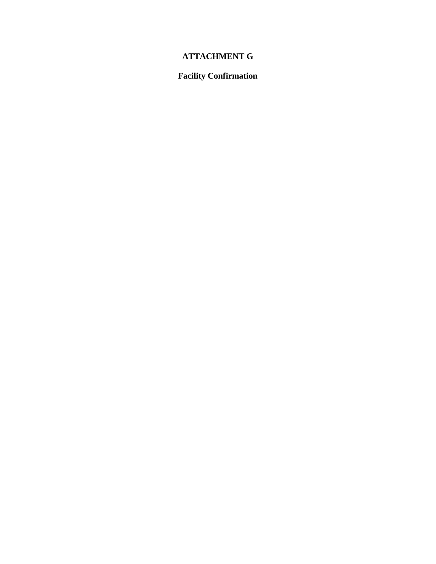# **ATTACHMENT G**

# **Facility Confirmation**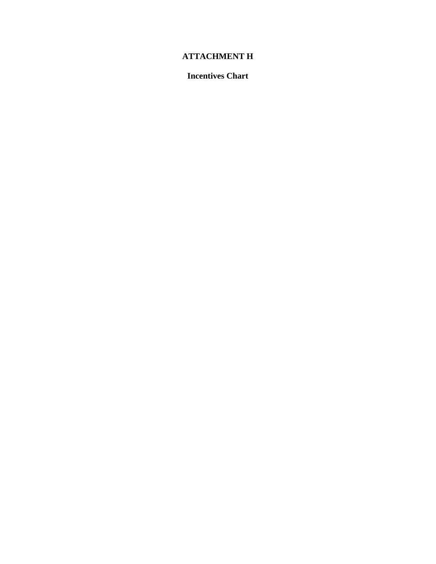# **ATTACHMENT H**

**Incentives Chart**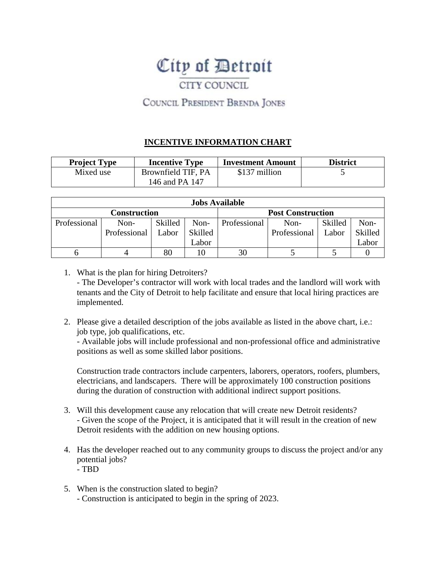# City of Detroit

# CITY COUNCIL

# COUNCIL PRESIDENT BRENDA JONES

## **INCENTIVE INFORMATION CHART**

| <b>Project Type</b> | <b>Incentive Type</b> | <b>Investment Amount</b> | <b>District</b> |
|---------------------|-----------------------|--------------------------|-----------------|
| Mixed use           | Brownfield TIF, PA    | \$137 million            |                 |
|                     | 146 and PA 147        |                          |                 |

|                                          | <b>Jobs Available</b> |         |         |              |              |         |         |  |  |  |  |  |  |  |  |
|------------------------------------------|-----------------------|---------|---------|--------------|--------------|---------|---------|--|--|--|--|--|--|--|--|
| <b>Post Construction</b><br>Construction |                       |         |         |              |              |         |         |  |  |  |  |  |  |  |  |
| Professional                             | Non-                  | Skilled | Non-    | Professional | Non-         | Skilled | Non-    |  |  |  |  |  |  |  |  |
|                                          | Professional          | Labor   | Skilled |              | Professional | Labor   | Skilled |  |  |  |  |  |  |  |  |
|                                          |                       |         | Labor   |              |              |         | Labor   |  |  |  |  |  |  |  |  |
|                                          |                       | 80      |         | 30           |              |         |         |  |  |  |  |  |  |  |  |

- 1. What is the plan for hiring Detroiters? - The Developer's contractor will work with local trades and the landlord will work with tenants and the City of Detroit to help facilitate and ensure that local hiring practices are implemented.
- 2. Please give a detailed description of the jobs available as listed in the above chart, i.e.: job type, job qualifications, etc.

- Available jobs will include professional and non-professional office and administrative positions as well as some skilled labor positions.

Construction trade contractors include carpenters, laborers, operators, roofers, plumbers, electricians, and landscapers. There will be approximately 100 construction positions during the duration of construction with additional indirect support positions.

- 3. Will this development cause any relocation that will create new Detroit residents? - Given the scope of the Project, it is anticipated that it will result in the creation of new Detroit residents with the addition on new housing options.
- 4. Has the developer reached out to any community groups to discuss the project and/or any potential jobs?
	- TBD
- 5. When is the construction slated to begin?
	- Construction is anticipated to begin in the spring of 2023.